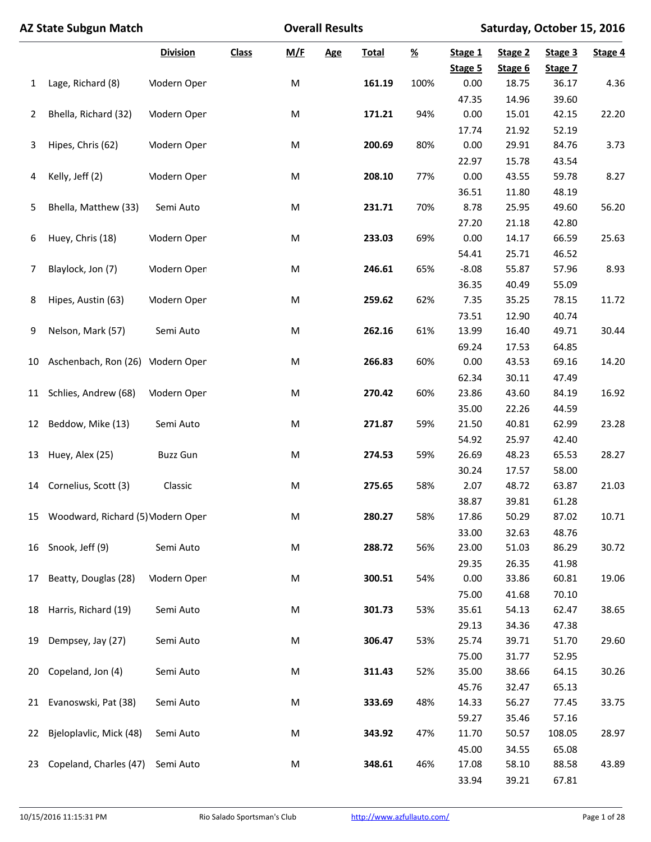|    | <b>AZ State Subgun Match</b>      |                    |              | <b>Overall Results</b> |            | Saturday, October 15, 2016 |                |                    |                    |                    |         |
|----|-----------------------------------|--------------------|--------------|------------------------|------------|----------------------------|----------------|--------------------|--------------------|--------------------|---------|
|    |                                   | <b>Division</b>    | <b>Class</b> | <u>M/F</u>             | <b>Age</b> | <b>Total</b>               | $\frac{96}{2}$ | Stage 1<br>Stage 5 | Stage 2<br>Stage 6 | Stage 3<br>Stage 7 | Stage 4 |
| 1  | Lage, Richard (8)                 | <b>Modern Open</b> |              | M                      |            | 161.19                     | 100%           | 0.00               | 18.75              | 36.17              | 4.36    |
|    |                                   |                    |              |                        |            |                            |                | 47.35              | 14.96              | 39.60              |         |
| 2  | Bhella, Richard (32)              | <b>Modern Open</b> |              | M                      |            | 171.21                     | 94%            | 0.00               | 15.01              | 42.15              | 22.20   |
|    |                                   |                    |              |                        |            |                            |                | 17.74              | 21.92              | 52.19              |         |
| 3  | Hipes, Chris (62)                 | <b>Modern Open</b> |              | M                      |            | 200.69                     | 80%            | 0.00               | 29.91              | 84.76              | 3.73    |
|    |                                   |                    |              |                        |            |                            |                | 22.97              | 15.78              | 43.54              |         |
| 4  | Kelly, Jeff (2)                   | <b>Modern Open</b> |              | M                      |            | 208.10                     | 77%            | 0.00               | 43.55              | 59.78              | 8.27    |
|    |                                   |                    |              |                        |            |                            |                | 36.51              | 11.80              | 48.19              |         |
| 5  | Bhella, Matthew (33)              | Semi Auto          |              | M                      |            | 231.71                     | 70%            | 8.78               | 25.95              | 49.60              | 56.20   |
|    |                                   |                    |              |                        |            |                            |                | 27.20              | 21.18              | 42.80              |         |
| 6  | Huey, Chris (18)                  | <b>Modern Open</b> |              | M                      |            | 233.03                     | 69%            | 0.00               | 14.17              | 66.59              | 25.63   |
|    |                                   |                    |              |                        |            |                            |                | 54.41              | 25.71              | 46.52              |         |
| 7  | Blaylock, Jon (7)                 | <b>Modern Open</b> |              | M                      |            | 246.61                     | 65%            | $-8.08$            | 55.87              | 57.96              | 8.93    |
|    |                                   |                    |              |                        |            |                            |                | 36.35              | 40.49              | 55.09              |         |
| 8  | Hipes, Austin (63)                | <b>Modern Open</b> |              | M                      |            | 259.62                     | 62%            | 7.35               | 35.25              | 78.15              | 11.72   |
|    |                                   |                    |              |                        |            |                            |                | 73.51              | 12.90              | 40.74              |         |
| 9  | Nelson, Mark (57)                 | Semi Auto          |              | M                      |            | 262.16                     | 61%            | 13.99              | 16.40              | 49.71              | 30.44   |
|    |                                   |                    |              |                        |            |                            |                | 69.24              | 17.53              | 64.85              |         |
| 10 | Aschenbach, Ron (26) Modern Open  |                    |              | M                      |            | 266.83                     | 60%            | 0.00               | 43.53              | 69.16              | 14.20   |
|    |                                   |                    |              |                        |            |                            |                | 62.34              | 30.11              | 47.49              |         |
| 11 | Schlies, Andrew (68)              | <b>Modern Open</b> |              | M                      |            | 270.42                     | 60%            | 23.86              | 43.60              | 84.19              | 16.92   |
|    |                                   |                    |              |                        |            |                            |                | 35.00              | 22.26              | 44.59              |         |
| 12 | Beddow, Mike (13)                 | Semi Auto          |              | M                      |            | 271.87                     | 59%            | 21.50              | 40.81              | 62.99              | 23.28   |
|    |                                   |                    |              |                        |            |                            |                | 54.92              | 25.97              | 42.40              |         |
| 13 | Huey, Alex (25)                   | <b>Buzz Gun</b>    |              | M                      |            | 274.53                     | 59%            | 26.69              | 48.23              | 65.53              | 28.27   |
|    |                                   |                    |              |                        |            |                            |                | 30.24              | 17.57              | 58.00              |         |
| 14 | Cornelius, Scott (3)              | Classic            |              | M                      |            | 275.65                     | 58%            | 2.07               | 48.72              | 63.87              | 21.03   |
|    |                                   |                    |              |                        |            |                            |                | 38.87              | 39.81              | 61.28              |         |
| 15 | Woodward, Richard (5) Modern Open |                    |              | M                      |            | 280.27                     | 58%            | 17.86              | 50.29              | 87.02              | 10.71   |
|    |                                   |                    |              |                        |            |                            |                | 33.00              | 32.63              | 48.76              |         |
| 16 | Snook, Jeff (9)                   | Semi Auto          |              | M                      |            | 288.72                     | 56%            | 23.00              | 51.03              | 86.29              | 30.72   |
|    |                                   |                    |              |                        |            |                            |                | 29.35              | 26.35              | 41.98              |         |
| 17 | Beatty, Douglas (28)              | <b>Modern Open</b> |              | M                      |            | 300.51                     | 54%            | 0.00               | 33.86              | 60.81              | 19.06   |
|    |                                   |                    |              |                        |            |                            |                | 75.00              | 41.68              | 70.10              |         |
| 18 | Harris, Richard (19)              | Semi Auto          |              | M                      |            | 301.73                     | 53%            | 35.61              | 54.13              | 62.47              | 38.65   |
|    |                                   |                    |              |                        |            |                            |                | 29.13              | 34.36              | 47.38              |         |
| 19 | Dempsey, Jay (27)                 | Semi Auto          |              | M                      |            | 306.47                     | 53%            | 25.74              | 39.71              | 51.70              | 29.60   |
|    |                                   |                    |              |                        |            |                            |                | 75.00              | 31.77              | 52.95              |         |
| 20 | Copeland, Jon (4)                 | Semi Auto          |              | M                      |            | 311.43                     | 52%            | 35.00              | 38.66              | 64.15              | 30.26   |
|    |                                   |                    |              |                        |            |                            |                | 45.76              | 32.47              | 65.13              |         |
| 21 | Evanoswski, Pat (38)              | Semi Auto          |              | M                      |            | 333.69                     | 48%            | 14.33              | 56.27              | 77.45              | 33.75   |
|    |                                   |                    |              |                        |            |                            |                | 59.27              | 35.46              | 57.16              |         |
| 22 | Bjeloplavlic, Mick (48)           | Semi Auto          |              | M                      |            | 343.92                     | 47%            | 11.70              | 50.57              | 108.05             | 28.97   |
|    |                                   |                    |              |                        |            |                            |                | 45.00              | 34.55              | 65.08              |         |
| 23 | Copeland, Charles (47)            | Semi Auto          |              | M                      |            | 348.61                     | 46%            | 17.08              | 58.10              | 88.58              | 43.89   |
|    |                                   |                    |              |                        |            |                            |                | 33.94              | 39.21              | 67.81              |         |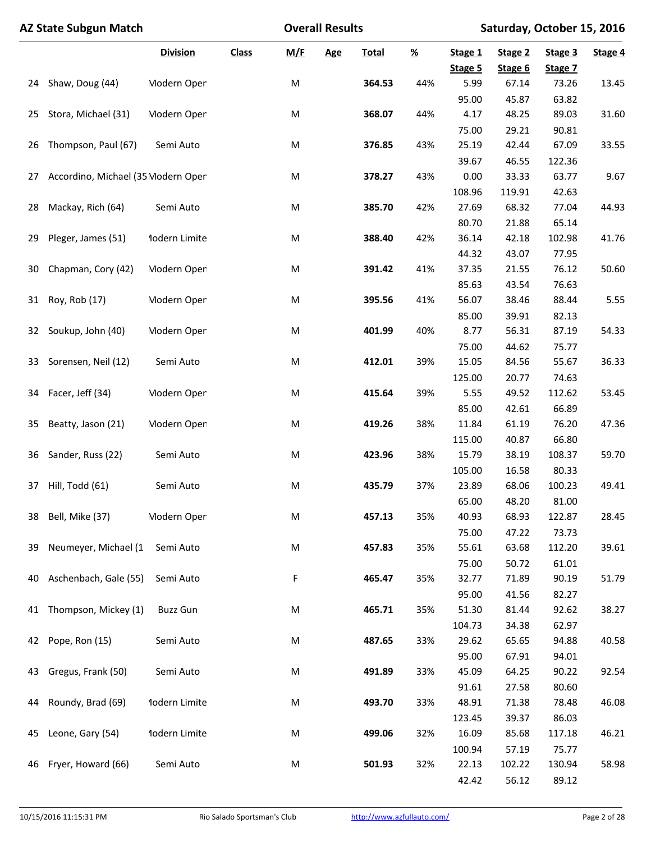|    | <b>AZ State Subgun Match</b>       |                    |              | <b>Overall Results</b> |            | Saturday, October 15, 2016 |          |                    |                    |                    |         |
|----|------------------------------------|--------------------|--------------|------------------------|------------|----------------------------|----------|--------------------|--------------------|--------------------|---------|
|    |                                    | <b>Division</b>    | <b>Class</b> | M/F                    | <b>Age</b> | <b>Total</b>               | <u>%</u> | Stage 1<br>Stage 5 | Stage 2<br>Stage 6 | Stage 3<br>Stage 7 | Stage 4 |
| 24 | Shaw, Doug (44)                    | <b>Modern Open</b> |              | M                      |            | 364.53                     | 44%      | 5.99               | 67.14              | 73.26              | 13.45   |
|    |                                    |                    |              |                        |            |                            |          | 95.00              | 45.87              | 63.82              |         |
| 25 | Stora, Michael (31)                | <b>Modern Open</b> |              | M                      |            | 368.07                     | 44%      | 4.17               | 48.25              | 89.03              | 31.60   |
|    |                                    |                    |              |                        |            |                            |          | 75.00              | 29.21              | 90.81              |         |
| 26 | Thompson, Paul (67)                | Semi Auto          |              | M                      |            | 376.85                     | 43%      | 25.19              | 42.44              | 67.09              | 33.55   |
|    |                                    |                    |              |                        |            |                            |          | 39.67              | 46.55              | 122.36             |         |
| 27 | Accordino, Michael (35 Modern Open |                    |              | M                      |            | 378.27                     | 43%      | 0.00               | 33.33              | 63.77              | 9.67    |
|    |                                    |                    |              |                        |            |                            |          | 108.96             | 119.91             | 42.63              |         |
| 28 | Mackay, Rich (64)                  | Semi Auto          |              | M                      |            | 385.70                     | 42%      | 27.69              | 68.32              | 77.04              | 44.93   |
|    |                                    |                    |              |                        |            |                            |          | 80.70              | 21.88              | 65.14              |         |
| 29 | Pleger, James (51)                 | 1odern Limite      |              | M                      |            | 388.40                     | 42%      | 36.14              | 42.18              | 102.98             | 41.76   |
|    |                                    |                    |              |                        |            |                            |          | 44.32              | 43.07              | 77.95              |         |
| 30 | Chapman, Cory (42)                 | <b>Modern Open</b> |              | M                      |            | 391.42                     | 41%      | 37.35              | 21.55              | 76.12              | 50.60   |
|    |                                    |                    |              |                        |            |                            |          | 85.63              | 43.54              | 76.63              |         |
| 31 | Roy, Rob (17)                      | <b>Modern Open</b> |              | M                      |            | 395.56                     | 41%      | 56.07              | 38.46              | 88.44              | 5.55    |
|    |                                    |                    |              |                        |            |                            |          | 85.00              | 39.91              | 82.13              |         |
| 32 | Soukup, John (40)                  | <b>Modern Open</b> |              | M                      |            | 401.99                     | 40%      | 8.77               | 56.31              | 87.19              | 54.33   |
|    |                                    |                    |              |                        |            |                            |          | 75.00              | 44.62              | 75.77              |         |
| 33 | Sorensen, Neil (12)                | Semi Auto          |              | M                      |            | 412.01                     | 39%      | 15.05              | 84.56              | 55.67              | 36.33   |
|    |                                    |                    |              |                        |            |                            |          | 125.00             | 20.77              | 74.63              |         |
| 34 | Facer, Jeff (34)                   | <b>Modern Open</b> |              | M                      |            | 415.64                     | 39%      | 5.55               | 49.52              | 112.62             | 53.45   |
|    |                                    |                    |              |                        |            |                            |          | 85.00              | 42.61              | 66.89              |         |
| 35 | Beatty, Jason (21)                 | <b>Modern Open</b> |              | M                      |            | 419.26                     | 38%      | 11.84              | 61.19              | 76.20              | 47.36   |
|    |                                    |                    |              |                        |            |                            |          | 115.00             | 40.87              | 66.80              |         |
| 36 | Sander, Russ (22)                  | Semi Auto          |              | M                      |            | 423.96                     | 38%      | 15.79              | 38.19              | 108.37             | 59.70   |
|    |                                    |                    |              |                        |            |                            |          | 105.00             | 16.58              | 80.33              |         |
| 37 | Hill, Todd (61)                    | Semi Auto          |              | M                      |            | 435.79                     | 37%      | 23.89              | 68.06              | 100.23             | 49.41   |
|    |                                    |                    |              |                        |            |                            |          | 65.00              | 48.20              | 81.00              |         |
| 38 | Bell, Mike (37)                    | <b>Modern Open</b> |              | M                      |            | 457.13                     | 35%      | 40.93              | 68.93              | 122.87             | 28.45   |
|    |                                    |                    |              |                        |            |                            |          | 75.00              | 47.22              | 73.73              |         |
| 39 | Neumeyer, Michael (1               | Semi Auto          |              | M                      |            | 457.83                     | 35%      | 55.61              | 63.68              | 112.20             | 39.61   |
|    |                                    |                    |              |                        |            |                            |          | 75.00              | 50.72              | 61.01              |         |
| 40 | Aschenbach, Gale (55)              | Semi Auto          |              | F                      |            | 465.47                     | 35%      | 32.77              | 71.89              | 90.19              | 51.79   |
|    |                                    |                    |              |                        |            |                            |          | 95.00              | 41.56              | 82.27              |         |
| 41 | Thompson, Mickey (1)               | <b>Buzz Gun</b>    |              | M                      |            | 465.71                     | 35%      | 51.30              | 81.44              | 92.62              | 38.27   |
|    | Pope, Ron (15)                     | Semi Auto          |              |                        |            | 487.65                     |          | 104.73<br>29.62    | 34.38              | 62.97              |         |
| 42 |                                    |                    |              | M                      |            |                            | 33%      |                    | 65.65              | 94.88              | 40.58   |
| 43 | Gregus, Frank (50)                 | Semi Auto          |              | M                      |            | 491.89                     | 33%      | 95.00<br>45.09     | 67.91<br>64.25     | 94.01<br>90.22     | 92.54   |
|    |                                    |                    |              |                        |            |                            |          | 91.61              | 27.58              | 80.60              |         |
| 44 | Roundy, Brad (69)                  | 1odern Limite      |              | M                      |            | 493.70                     | 33%      | 48.91              | 71.38              | 78.48              | 46.08   |
|    |                                    |                    |              |                        |            |                            |          | 123.45             | 39.37              | 86.03              |         |
| 45 | Leone, Gary (54)                   | 1odern Limite      |              | M                      |            | 499.06                     | 32%      | 16.09              | 85.68              | 117.18             | 46.21   |
|    |                                    |                    |              |                        |            |                            |          | 100.94             | 57.19              | 75.77              |         |
| 46 | Fryer, Howard (66)                 | Semi Auto          |              | M                      |            | 501.93                     | 32%      | 22.13              | 102.22             | 130.94             | 58.98   |
|    |                                    |                    |              |                        |            |                            |          | 42.42              | 56.12              | 89.12              |         |
|    |                                    |                    |              |                        |            |                            |          |                    |                    |                    |         |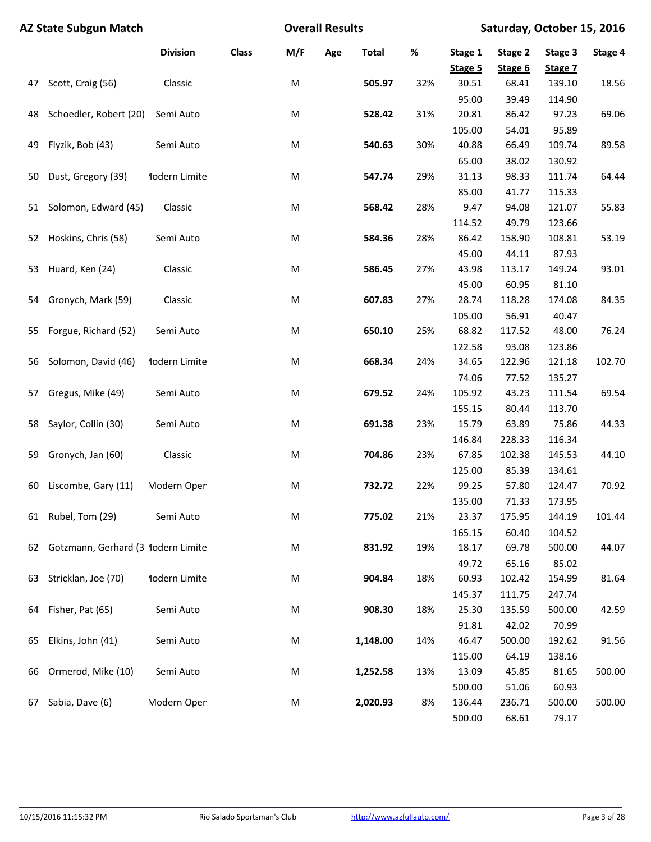|    | <b>AZ State Subgun Match</b>       |                    | <b>Overall Results</b> |     |            | Saturday, October 15, 2016 |          |                    |                    |                    |         |
|----|------------------------------------|--------------------|------------------------|-----|------------|----------------------------|----------|--------------------|--------------------|--------------------|---------|
|    |                                    | <b>Division</b>    | <b>Class</b>           | M/F | <b>Age</b> | <b>Total</b>               | <u>%</u> | Stage 1<br>Stage 5 | Stage 2<br>Stage 6 | Stage 3<br>Stage 7 | Stage 4 |
| 47 | Scott, Craig (56)                  | Classic            |                        | M   |            | 505.97                     | 32%      | 30.51              | 68.41              | 139.10             | 18.56   |
|    |                                    |                    |                        |     |            |                            |          | 95.00              | 39.49              | 114.90             |         |
| 48 | Schoedler, Robert (20)             | Semi Auto          |                        | M   |            | 528.42                     | 31%      | 20.81              | 86.42              | 97.23              | 69.06   |
|    |                                    |                    |                        |     |            |                            |          | 105.00             | 54.01              | 95.89              |         |
| 49 | Flyzik, Bob (43)                   | Semi Auto          |                        | M   |            | 540.63                     | 30%      | 40.88              | 66.49              | 109.74             | 89.58   |
|    |                                    |                    |                        |     |            |                            |          | 65.00              | 38.02              | 130.92             |         |
| 50 | Dust, Gregory (39)                 | 1odern Limite      |                        | M   |            | 547.74                     | 29%      | 31.13              | 98.33              | 111.74             | 64.44   |
|    |                                    |                    |                        |     |            |                            |          | 85.00              | 41.77              | 115.33             |         |
| 51 | Solomon, Edward (45)               | Classic            |                        | M   |            | 568.42                     | 28%      | 9.47               | 94.08              | 121.07             | 55.83   |
|    |                                    |                    |                        |     |            |                            |          | 114.52             | 49.79              | 123.66             |         |
| 52 | Hoskins, Chris (58)                | Semi Auto          |                        | M   |            | 584.36                     | 28%      | 86.42              | 158.90             | 108.81             | 53.19   |
|    |                                    |                    |                        |     |            |                            |          | 45.00              | 44.11              | 87.93              |         |
| 53 | Huard, Ken (24)                    | Classic            |                        | M   |            | 586.45                     | 27%      | 43.98              | 113.17             | 149.24             | 93.01   |
|    |                                    |                    |                        |     |            |                            |          | 45.00              | 60.95              | 81.10              |         |
| 54 | Gronych, Mark (59)                 | Classic            |                        | M   |            | 607.83                     | 27%      | 28.74              | 118.28             | 174.08             | 84.35   |
|    |                                    |                    |                        |     |            |                            |          | 105.00             | 56.91              | 40.47              |         |
| 55 | Forgue, Richard (52)               | Semi Auto          |                        | M   |            | 650.10                     | 25%      | 68.82              | 117.52             | 48.00              | 76.24   |
|    |                                    |                    |                        |     |            |                            |          | 122.58             | 93.08              | 123.86             |         |
| 56 | Solomon, David (46)                | 1odern Limite      |                        | M   |            | 668.34                     | 24%      | 34.65              | 122.96             | 121.18             | 102.70  |
|    |                                    |                    |                        |     |            |                            |          | 74.06              | 77.52              | 135.27             |         |
| 57 | Gregus, Mike (49)                  | Semi Auto          |                        | M   |            | 679.52                     | 24%      | 105.92             | 43.23              | 111.54             | 69.54   |
|    |                                    |                    |                        |     |            |                            |          | 155.15             | 80.44              | 113.70             |         |
| 58 | Saylor, Collin (30)                | Semi Auto          |                        | M   |            | 691.38                     | 23%      | 15.79              | 63.89              | 75.86              | 44.33   |
|    |                                    |                    |                        |     |            |                            |          | 146.84             | 228.33             | 116.34             |         |
| 59 | Gronych, Jan (60)                  | Classic            |                        | M   |            | 704.86                     | 23%      | 67.85              | 102.38             | 145.53             | 44.10   |
|    |                                    |                    |                        |     |            |                            |          | 125.00             | 85.39              | 134.61             |         |
| 60 | Liscombe, Gary (11)                | <b>Modern Open</b> |                        | M   |            | 732.72                     | 22%      | 99.25              | 57.80              | 124.47             | 70.92   |
|    |                                    |                    |                        |     |            |                            |          | 135.00             | 71.33              | 173.95             |         |
| 61 | Rubel, Tom (29)                    | Semi Auto          |                        | M   |            | 775.02                     | 21%      | 23.37              | 175.95             | 144.19             | 101.44  |
|    |                                    |                    |                        |     |            |                            |          | 165.15             | 60.40              | 104.52             |         |
| 62 | Gotzmann, Gerhard (3 1odern Limite |                    |                        | M   |            | 831.92                     | 19%      | 18.17              | 69.78              | 500.00             | 44.07   |
|    |                                    |                    |                        |     |            |                            |          | 49.72              | 65.16              | 85.02              |         |
| 63 | Stricklan, Joe (70)                | 1odern Limite      |                        | M   |            | 904.84                     | 18%      | 60.93              | 102.42             | 154.99             | 81.64   |
|    |                                    |                    |                        |     |            |                            |          | 145.37             | 111.75             | 247.74             |         |
| 64 | Fisher, Pat (65)                   | Semi Auto          |                        | M   |            | 908.30                     | 18%      | 25.30              | 135.59             | 500.00             | 42.59   |
|    |                                    |                    |                        |     |            |                            |          | 91.81              | 42.02              | 70.99              |         |
| 65 | Elkins, John (41)                  | Semi Auto          |                        | M   |            | 1,148.00                   | 14%      | 46.47              | 500.00             | 192.62             | 91.56   |
|    |                                    |                    |                        |     |            |                            |          | 115.00             | 64.19              | 138.16             |         |
| 66 | Ormerod, Mike (10)                 | Semi Auto          |                        | M   |            | 1,252.58                   | 13%      | 13.09              | 45.85              | 81.65              | 500.00  |
|    |                                    |                    |                        |     |            |                            |          | 500.00             | 51.06              | 60.93              |         |
| 67 | Sabia, Dave (6)                    | <b>Modern Open</b> |                        | M   |            | 2,020.93                   | 8%       | 136.44             | 236.71             | 500.00             | 500.00  |
|    |                                    |                    |                        |     |            |                            |          | 500.00             | 68.61              | 79.17              |         |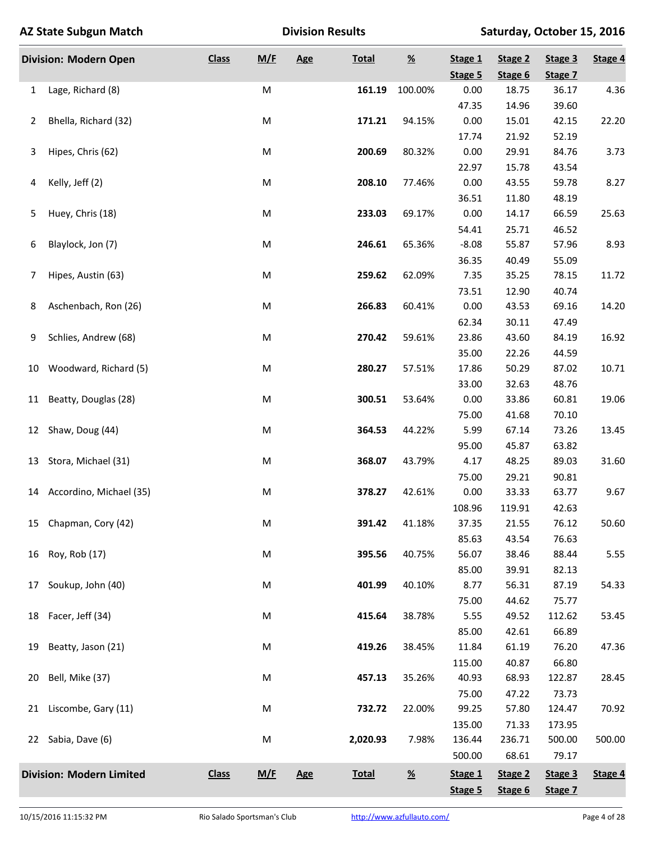|    | <b>AZ State Subgun Match</b>    |              |           | <b>Division Results</b> |              | Saturday, October 15, 2016 |                    |                    |                    |         |
|----|---------------------------------|--------------|-----------|-------------------------|--------------|----------------------------|--------------------|--------------------|--------------------|---------|
|    | <b>Division: Modern Open</b>    | <b>Class</b> | M/F       | Age                     | <b>Total</b> | $\underline{\mathcal{H}}$  | Stage 1<br>Stage 5 | Stage 2<br>Stage 6 | Stage 3<br>Stage 7 | Stage 4 |
| 1  | Lage, Richard (8)               |              | M         |                         | 161.19       | 100.00%                    | 0.00               | 18.75              | 36.17              | 4.36    |
|    |                                 |              |           |                         |              |                            | 47.35              | 14.96              | 39.60              |         |
| 2  | Bhella, Richard (32)            |              | M         |                         | 171.21       | 94.15%                     | 0.00               | 15.01              | 42.15              | 22.20   |
|    |                                 |              |           |                         |              |                            | 17.74              | 21.92              | 52.19              |         |
| 3  | Hipes, Chris (62)               |              | M         |                         | 200.69       | 80.32%                     | 0.00               | 29.91              | 84.76              | 3.73    |
|    |                                 |              |           |                         |              |                            | 22.97              | 15.78              | 43.54              |         |
| 4  | Kelly, Jeff (2)                 |              | ${\sf M}$ |                         | 208.10       | 77.46%                     | 0.00               | 43.55              | 59.78              | 8.27    |
|    |                                 |              |           |                         |              |                            | 36.51              | 11.80              | 48.19              |         |
| 5  | Huey, Chris (18)                |              | M         |                         | 233.03       | 69.17%                     | 0.00               | 14.17              | 66.59              | 25.63   |
|    |                                 |              |           |                         |              |                            | 54.41              | 25.71              | 46.52              |         |
| 6  | Blaylock, Jon (7)               |              | M         |                         | 246.61       | 65.36%                     | $-8.08$            | 55.87              | 57.96              | 8.93    |
|    |                                 |              |           |                         |              |                            | 36.35              | 40.49              | 55.09              |         |
| 7  | Hipes, Austin (63)              |              | M         |                         | 259.62       | 62.09%                     | 7.35               | 35.25              | 78.15              | 11.72   |
|    |                                 |              |           |                         |              |                            | 73.51              | 12.90              | 40.74              |         |
| 8  | Aschenbach, Ron (26)            |              | M         |                         | 266.83       | 60.41%                     | 0.00               | 43.53              | 69.16              | 14.20   |
|    |                                 |              |           |                         |              |                            | 62.34              | 30.11              | 47.49              |         |
| 9  | Schlies, Andrew (68)            |              | M         |                         | 270.42       | 59.61%                     | 23.86              | 43.60              | 84.19              | 16.92   |
|    |                                 |              |           |                         |              |                            | 35.00              | 22.26              | 44.59              |         |
| 10 | Woodward, Richard (5)           |              | M         |                         | 280.27       | 57.51%                     | 17.86              | 50.29              | 87.02              | 10.71   |
|    |                                 |              |           |                         |              |                            | 33.00              | 32.63              | 48.76              |         |
| 11 | Beatty, Douglas (28)            |              | M         |                         | 300.51       | 53.64%                     | 0.00               | 33.86              | 60.81              | 19.06   |
|    |                                 |              |           |                         |              |                            | 75.00              | 41.68              | 70.10              |         |
| 12 | Shaw, Doug (44)                 |              | M         |                         | 364.53       | 44.22%                     | 5.99               | 67.14              | 73.26              | 13.45   |
|    |                                 |              |           |                         |              |                            | 95.00              | 45.87              | 63.82              |         |
| 13 | Stora, Michael (31)             |              | M         |                         | 368.07       | 43.79%                     | 4.17               | 48.25              | 89.03              | 31.60   |
|    |                                 |              |           |                         |              |                            | 75.00              | 29.21              | 90.81              |         |
|    | 14 Accordino, Michael (35)      |              | M         |                         | 378.27       | 42.61%                     | 0.00               | 33.33              | 63.77              | 9.67    |
|    |                                 |              |           |                         |              |                            | 108.96             | 119.91             | 42.63              |         |
| 15 | Chapman, Cory (42)              |              | M         |                         | 391.42       | 41.18%                     | 37.35              | 21.55              | 76.12              | 50.60   |
|    |                                 |              |           |                         |              |                            | 85.63              | 43.54              | 76.63              |         |
| 16 | Roy, Rob (17)                   |              | M         |                         | 395.56       | 40.75%                     | 56.07              | 38.46              | 88.44              | 5.55    |
|    |                                 |              |           |                         |              |                            | 85.00              | 39.91              | 82.13              |         |
| 17 | Soukup, John (40)               |              | M         |                         | 401.99       | 40.10%                     | 8.77               | 56.31              | 87.19              | 54.33   |
|    |                                 |              |           |                         |              |                            | 75.00              | 44.62              | 75.77              |         |
| 18 | Facer, Jeff (34)                |              | M         |                         | 415.64       | 38.78%                     | 5.55               | 49.52              | 112.62             | 53.45   |
|    |                                 |              |           |                         |              |                            | 85.00              | 42.61              | 66.89              |         |
| 19 | Beatty, Jason (21)              |              | M         |                         | 419.26       | 38.45%                     | 11.84              | 61.19              | 76.20              | 47.36   |
|    |                                 |              |           |                         |              |                            | 115.00             | 40.87              | 66.80              |         |
| 20 | Bell, Mike (37)                 |              | M         |                         | 457.13       | 35.26%                     | 40.93              | 68.93              | 122.87             | 28.45   |
|    |                                 |              |           |                         |              |                            | 75.00              | 47.22              | 73.73              |         |
| 21 | Liscombe, Gary (11)             |              | M         |                         | 732.72       | 22.00%                     | 99.25              | 57.80              | 124.47             | 70.92   |
|    |                                 |              |           |                         |              |                            | 135.00             | 71.33              | 173.95             |         |
|    | 22 Sabia, Dave (6)              |              | M         |                         | 2,020.93     | 7.98%                      | 136.44             | 236.71             | 500.00             | 500.00  |
|    |                                 |              |           |                         |              |                            | 500.00             | 68.61              | 79.17              |         |
|    | <b>Division: Modern Limited</b> | <b>Class</b> | M/F       | Age                     | <b>Total</b> | $\underline{\mathcal{H}}$  | Stage 1            | Stage 2            | Stage 3            | Stage 4 |
|    |                                 |              |           |                         |              |                            | Stage 5            | Stage 6            | Stage 7            |         |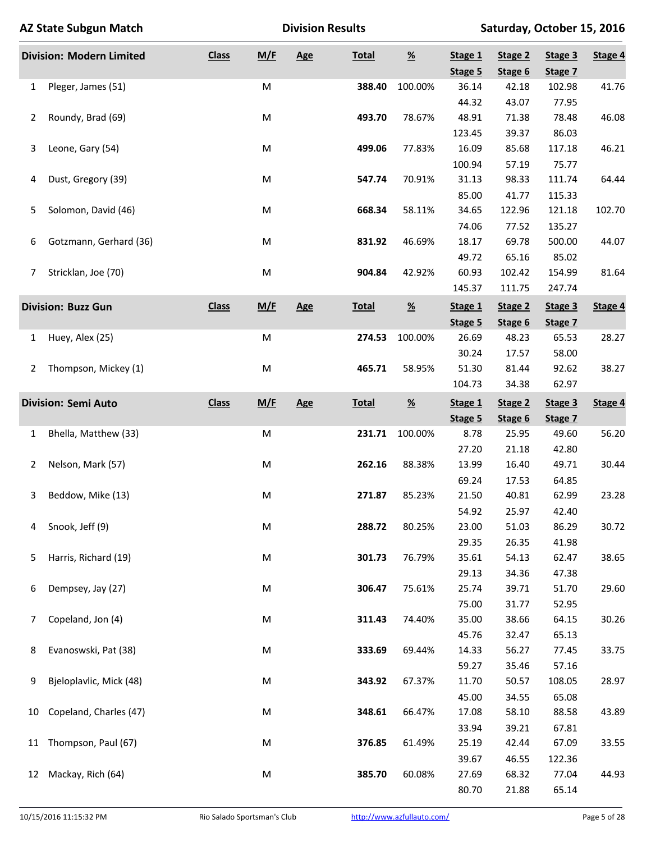|    | <b>AZ State Subgun Match</b>    |              |           | <b>Division Results</b> |              |                           |                    | Saturday, October 15, 2016 |                    |         |
|----|---------------------------------|--------------|-----------|-------------------------|--------------|---------------------------|--------------------|----------------------------|--------------------|---------|
|    | <b>Division: Modern Limited</b> | <b>Class</b> | M/F       | Age                     | <b>Total</b> | $\underline{\mathcal{H}}$ | Stage 1<br>Stage 5 | Stage 2<br>Stage 6         | Stage 3<br>Stage 7 | Stage 4 |
| 1  | Pleger, James (51)              |              | M         |                         | 388.40       | 100.00%                   | 36.14              | 42.18                      | 102.98             | 41.76   |
|    |                                 |              |           |                         |              |                           | 44.32              | 43.07                      | 77.95              |         |
| 2  | Roundy, Brad (69)               |              | M         |                         | 493.70       | 78.67%                    | 48.91              | 71.38                      | 78.48              | 46.08   |
|    |                                 |              |           |                         |              |                           | 123.45             | 39.37                      | 86.03              |         |
| 3  | Leone, Gary (54)                |              | M         |                         | 499.06       | 77.83%                    | 16.09              | 85.68                      | 117.18             | 46.21   |
|    |                                 |              |           |                         |              |                           | 100.94             | 57.19                      | 75.77              |         |
| 4  | Dust, Gregory (39)              |              | M         |                         | 547.74       | 70.91%                    | 31.13              | 98.33                      | 111.74             | 64.44   |
|    |                                 |              |           |                         |              |                           | 85.00              | 41.77                      | 115.33             |         |
| 5  | Solomon, David (46)             |              | M         |                         | 668.34       | 58.11%                    | 34.65              | 122.96                     | 121.18             | 102.70  |
|    |                                 |              |           |                         |              |                           | 74.06              | 77.52                      | 135.27             |         |
| 6  | Gotzmann, Gerhard (36)          |              | M         |                         | 831.92       | 46.69%                    | 18.17              | 69.78                      | 500.00             | 44.07   |
|    |                                 |              |           |                         |              |                           | 49.72              | 65.16                      | 85.02              |         |
| 7  | Stricklan, Joe (70)             |              | M         |                         | 904.84       | 42.92%                    | 60.93              | 102.42                     | 154.99             | 81.64   |
|    |                                 |              |           |                         |              |                           | 145.37             | 111.75                     | 247.74             |         |
|    | <b>Division: Buzz Gun</b>       | <b>Class</b> | M/F       | Age                     | <b>Total</b> | $\underline{\mathcal{H}}$ | Stage 1            | Stage 2                    | Stage 3            | Stage 4 |
|    |                                 |              |           |                         |              |                           | Stage 5            | Stage 6                    | Stage 7            |         |
| 1  | Huey, Alex (25)                 |              | M         |                         | 274.53       | 100.00%                   | 26.69              | 48.23                      | 65.53              | 28.27   |
|    |                                 |              |           |                         |              |                           | 30.24              | 17.57                      | 58.00              |         |
| 2  | Thompson, Mickey (1)            |              | M         |                         | 465.71       | 58.95%                    | 51.30              | 81.44                      | 92.62              | 38.27   |
|    |                                 |              |           |                         |              |                           | 104.73             | 34.38                      | 62.97              |         |
|    | <b>Division: Semi Auto</b>      | <b>Class</b> | M/F       | <b>Age</b>              | <b>Total</b> | $\frac{\%}{\sqrt{2}}$     | Stage 1            | Stage 2                    | Stage 3            | Stage 4 |
|    |                                 |              |           |                         |              |                           | Stage 5            | Stage 6                    | Stage 7            |         |
| 1  | Bhella, Matthew (33)            |              | M         |                         | 231.71       | 100.00%                   | 8.78               | 25.95                      | 49.60              | 56.20   |
|    |                                 |              |           |                         |              |                           | 27.20              | 21.18                      | 42.80              |         |
| 2  | Nelson, Mark (57)               |              | M         |                         | 262.16       | 88.38%                    | 13.99              | 16.40                      | 49.71              | 30.44   |
|    |                                 |              |           |                         |              |                           | 69.24              | 17.53                      | 64.85              |         |
| 3  | Beddow, Mike (13)               |              | M         |                         | 271.87       | 85.23%                    | 21.50              | 40.81                      | 62.99              | 23.28   |
|    |                                 |              |           |                         |              |                           | 54.92              | 25.97                      | 42.40              |         |
| 4  | Snook, Jeff (9)                 |              | ${\sf M}$ |                         | 288.72       | 80.25%                    | 23.00              | 51.03                      | 86.29              | 30.72   |
|    |                                 |              |           |                         | 301.73       |                           | 29.35              | 26.35                      | 41.98              |         |
| 5  | Harris, Richard (19)            |              | M         |                         |              | 76.79%                    | 35.61<br>29.13     | 54.13                      | 62.47              | 38.65   |
| 6  | Dempsey, Jay (27)               |              | M         |                         | 306.47       | 75.61%                    | 25.74              | 34.36<br>39.71             | 47.38<br>51.70     | 29.60   |
|    |                                 |              |           |                         |              |                           | 75.00              | 31.77                      | 52.95              |         |
| 7  | Copeland, Jon (4)               |              | M         |                         | 311.43       | 74.40%                    | 35.00              | 38.66                      | 64.15              | 30.26   |
|    |                                 |              |           |                         |              |                           | 45.76              | 32.47                      | 65.13              |         |
| 8  | Evanoswski, Pat (38)            |              | M         |                         | 333.69       | 69.44%                    | 14.33              | 56.27                      | 77.45              | 33.75   |
|    |                                 |              |           |                         |              |                           | 59.27              | 35.46                      | 57.16              |         |
| 9  | Bjeloplavlic, Mick (48)         |              | M         |                         | 343.92       | 67.37%                    | 11.70              | 50.57                      | 108.05             | 28.97   |
|    |                                 |              |           |                         |              |                           | 45.00              | 34.55                      | 65.08              |         |
| 10 | Copeland, Charles (47)          |              | M         |                         | 348.61       | 66.47%                    | 17.08              | 58.10                      | 88.58              | 43.89   |
|    |                                 |              |           |                         |              |                           | 33.94              | 39.21                      | 67.81              |         |
| 11 | Thompson, Paul (67)             |              | M         |                         | 376.85       | 61.49%                    | 25.19              | 42.44                      | 67.09              | 33.55   |
|    |                                 |              |           |                         |              |                           | 39.67              | 46.55                      | 122.36             |         |
| 12 | Mackay, Rich (64)               |              | M         |                         | 385.70       | 60.08%                    | 27.69              | 68.32                      | 77.04              | 44.93   |
|    |                                 |              |           |                         |              |                           | 80.70              | 21.88                      | 65.14              |         |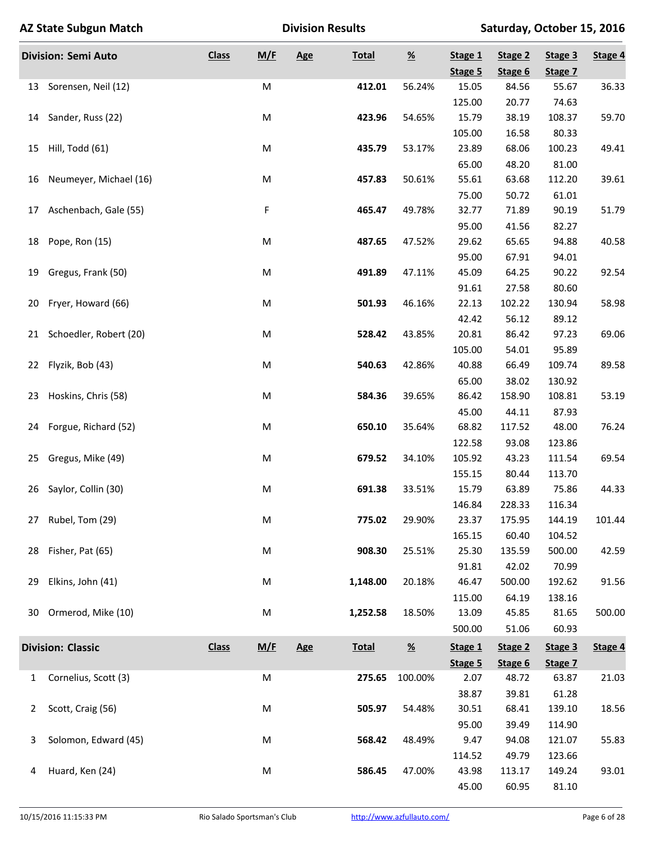|    | <b>AZ State Subgun Match</b> |              |           | <b>Division Results</b> |              | Saturday, October 15, 2016  |                    |                    |                    |         |
|----|------------------------------|--------------|-----------|-------------------------|--------------|-----------------------------|--------------------|--------------------|--------------------|---------|
|    | <b>Division: Semi Auto</b>   | <b>Class</b> | M/E       | Age                     | <b>Total</b> | $\underline{\mathcal{Y}_0}$ | Stage 1<br>Stage 5 | Stage 2<br>Stage 6 | Stage 3<br>Stage 7 | Stage 4 |
|    | 13 Sorensen, Neil (12)       |              | M         |                         | 412.01       | 56.24%                      | 15.05              | 84.56              | 55.67              | 36.33   |
|    |                              |              |           |                         |              |                             | 125.00             | 20.77              | 74.63              |         |
|    | 14 Sander, Russ (22)         |              | M         |                         | 423.96       | 54.65%                      | 15.79              | 38.19              | 108.37             | 59.70   |
|    |                              |              |           |                         |              |                             | 105.00             | 16.58              | 80.33              |         |
| 15 | Hill, Todd (61)              |              | M         |                         | 435.79       | 53.17%                      | 23.89              | 68.06              | 100.23             | 49.41   |
|    |                              |              |           |                         |              |                             | 65.00              | 48.20              | 81.00              |         |
| 16 | Neumeyer, Michael (16)       |              | M         |                         | 457.83       | 50.61%                      | 55.61              | 63.68              | 112.20             | 39.61   |
|    |                              |              |           |                         |              |                             | 75.00              | 50.72              | 61.01              |         |
| 17 | Aschenbach, Gale (55)        |              | F         |                         | 465.47       | 49.78%                      | 32.77              | 71.89              | 90.19              | 51.79   |
|    |                              |              |           |                         |              |                             | 95.00              | 41.56              | 82.27              |         |
| 18 | Pope, Ron (15)               |              | ${\sf M}$ |                         | 487.65       | 47.52%                      | 29.62              | 65.65              | 94.88              | 40.58   |
|    |                              |              |           |                         |              |                             | 95.00              | 67.91              | 94.01              |         |
| 19 | Gregus, Frank (50)           |              | ${\sf M}$ |                         | 491.89       | 47.11%                      | 45.09              | 64.25              | 90.22              | 92.54   |
|    |                              |              |           |                         |              |                             | 91.61              | 27.58              | 80.60              |         |
| 20 | Fryer, Howard (66)           |              | ${\sf M}$ |                         | 501.93       | 46.16%                      | 22.13              | 102.22             | 130.94             | 58.98   |
|    |                              |              |           |                         |              |                             | 42.42              | 56.12              | 89.12              |         |
|    | 21 Schoedler, Robert (20)    |              | M         |                         | 528.42       | 43.85%                      | 20.81              | 86.42              | 97.23              | 69.06   |
|    |                              |              |           |                         |              |                             | 105.00             | 54.01              | 95.89              |         |
| 22 | Flyzik, Bob (43)             |              | M         |                         | 540.63       | 42.86%                      | 40.88              | 66.49              | 109.74             | 89.58   |
|    |                              |              |           |                         |              |                             | 65.00              | 38.02              | 130.92             |         |
| 23 | Hoskins, Chris (58)          |              | M         |                         | 584.36       | 39.65%                      | 86.42              | 158.90             | 108.81             | 53.19   |
|    |                              |              |           |                         |              |                             | 45.00              | 44.11              | 87.93              |         |
| 24 | Forgue, Richard (52)         |              | M         |                         | 650.10       | 35.64%                      | 68.82              | 117.52             | 48.00              | 76.24   |
|    |                              |              |           |                         |              |                             | 122.58             | 93.08              | 123.86             |         |
| 25 | Gregus, Mike (49)            |              | M         |                         | 679.52       | 34.10%                      | 105.92             | 43.23              | 111.54             | 69.54   |
|    |                              |              |           |                         |              |                             | 155.15             | 80.44              | 113.70             |         |
| 26 | Saylor, Collin (30)          |              | ${\sf M}$ |                         | 691.38       | 33.51%                      | 15.79              | 63.89              | 75.86              | 44.33   |
|    |                              |              |           |                         |              |                             | 146.84             | 228.33             | 116.34             |         |
| 27 | Rubel, Tom (29)              |              | M         |                         | 775.02       | 29.90%                      | 23.37              | 175.95             | 144.19             | 101.44  |
|    |                              |              |           |                         |              |                             | 165.15             | 60.40              | 104.52             |         |
| 28 | Fisher, Pat (65)             |              | M         |                         | 908.30       | 25.51%                      | 25.30              | 135.59             | 500.00             | 42.59   |
|    |                              |              |           |                         |              |                             | 91.81              | 42.02              | 70.99              |         |
| 29 | Elkins, John (41)            |              | M         |                         | 1,148.00     | 20.18%                      | 46.47              | 500.00             | 192.62             | 91.56   |
|    |                              |              |           |                         |              |                             | 115.00             | 64.19              | 138.16             |         |
| 30 | Ormerod, Mike (10)           |              | M         |                         | 1,252.58     | 18.50%                      | 13.09              | 45.85              | 81.65              | 500.00  |
|    |                              |              |           |                         |              |                             | 500.00             | 51.06              | 60.93              |         |
|    | <b>Division: Classic</b>     | <b>Class</b> | M/E       | Age                     | <b>Total</b> | $\underline{\mathcal{Y}_0}$ | Stage 1            | Stage 2            | Stage 3            | Stage 4 |
|    |                              |              |           |                         |              |                             | Stage 5            | Stage 6            | Stage 7            |         |
| 1  | Cornelius, Scott (3)         |              | M         |                         | 275.65       | 100.00%                     | 2.07               | 48.72              | 63.87              | 21.03   |
|    |                              |              |           |                         |              |                             | 38.87              | 39.81              | 61.28              |         |
| 2  | Scott, Craig (56)            |              | M         |                         | 505.97       | 54.48%                      | 30.51              | 68.41              | 139.10             | 18.56   |
|    |                              |              |           |                         |              |                             | 95.00              | 39.49              | 114.90             |         |
| 3  | Solomon, Edward (45)         |              | M         |                         | 568.42       | 48.49%                      | 9.47               | 94.08              | 121.07             | 55.83   |
|    |                              |              |           |                         |              |                             | 114.52             | 49.79              | 123.66             |         |
| 4  | Huard, Ken (24)              |              | M         |                         | 586.45       | 47.00%                      | 43.98              | 113.17             | 149.24             | 93.01   |
|    |                              |              |           |                         |              |                             | 45.00              | 60.95              | 81.10              |         |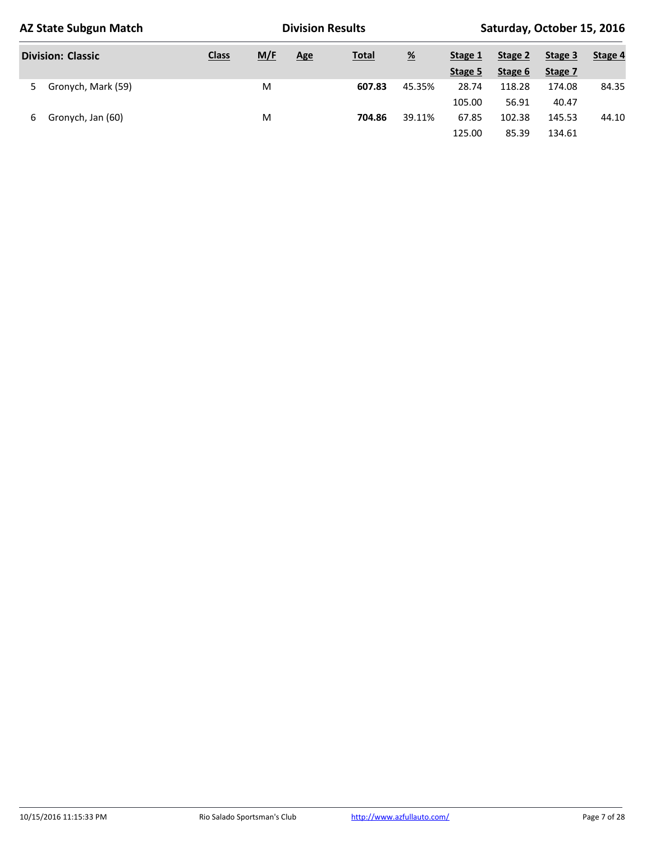| <b>AZ State Subgun Match</b> |              |     | <b>Division Results</b> |              | Saturday, October 15, 2016 |         |         |         |         |
|------------------------------|--------------|-----|-------------------------|--------------|----------------------------|---------|---------|---------|---------|
| <b>Division: Classic</b>     | <b>Class</b> | M/F | <b>Age</b>              | <b>Total</b> |                            | Stage 1 | Stage 2 | Stage 3 | Stage 4 |
|                              |              |     |                         |              |                            | Stage 5 | Stage 6 | Stage 7 |         |
| Gronych, Mark (59)<br>5.     |              | M   |                         | 607.83       | 45.35%                     | 28.74   | 118.28  | 174.08  | 84.35   |
|                              |              |     |                         |              |                            | 105.00  | 56.91   | 40.47   |         |
| Gronych, Jan (60)<br>6       |              | M   |                         | 704.86       | 39.11%                     | 67.85   | 102.38  | 145.53  | 44.10   |
|                              |              |     |                         |              |                            | 125.00  | 85.39   | 134.61  |         |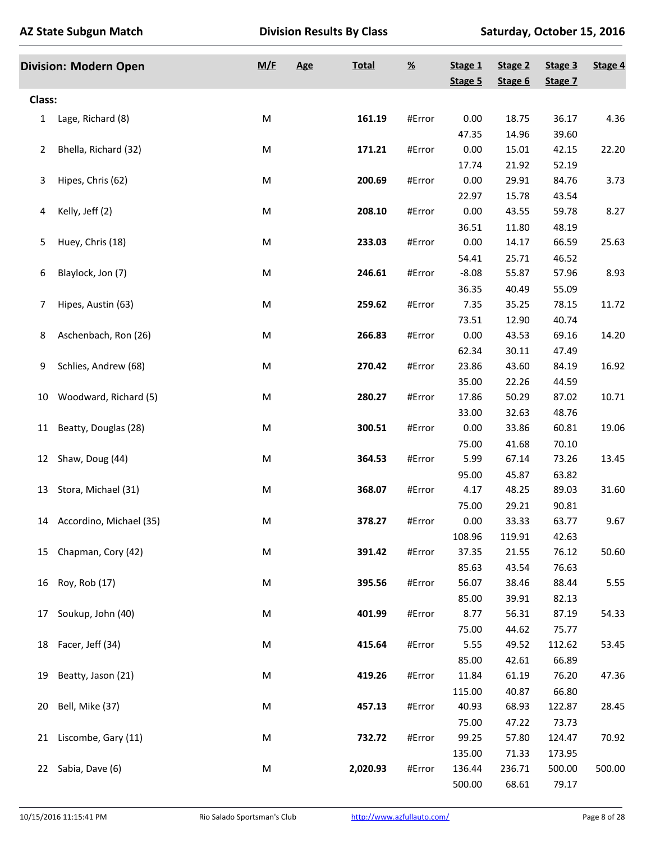|                | <b>Division: Modern Open</b> | M/F       | <b>Age</b> | <b>Total</b> | $\underline{\mathcal{H}}$ | Stage 1<br>Stage 5 | Stage 2<br>Stage 6 | Stage 3<br>Stage 7 | Stage 4 |
|----------------|------------------------------|-----------|------------|--------------|---------------------------|--------------------|--------------------|--------------------|---------|
| <b>Class:</b>  |                              |           |            |              |                           |                    |                    |                    |         |
| 1              | Lage, Richard (8)            | M         |            | 161.19       | #Error                    | 0.00               | 18.75              | 36.17              | 4.36    |
|                |                              |           |            |              |                           | 47.35              | 14.96              | 39.60              |         |
| $\overline{2}$ | Bhella, Richard (32)         | M         |            | 171.21       | #Error                    | 0.00               | 15.01              | 42.15              | 22.20   |
|                |                              |           |            |              |                           | 17.74              | 21.92              | 52.19              |         |
| 3              | Hipes, Chris (62)            | M         |            | 200.69       | #Error                    | 0.00               | 29.91              | 84.76              | 3.73    |
|                |                              |           |            |              |                           | 22.97              | 15.78              | 43.54              |         |
| 4              | Kelly, Jeff (2)              | M         |            | 208.10       | #Error                    | 0.00               | 43.55              | 59.78              | 8.27    |
|                |                              |           |            |              |                           | 36.51              | 11.80              | 48.19              |         |
| 5              | Huey, Chris (18)             | ${\sf M}$ |            | 233.03       | #Error                    | 0.00               | 14.17              | 66.59              | 25.63   |
|                |                              |           |            |              |                           | 54.41              | 25.71              | 46.52              |         |
| 6              | Blaylock, Jon (7)            | M         |            | 246.61       | #Error                    | $-8.08$            | 55.87              | 57.96              | 8.93    |
|                |                              |           |            |              |                           | 36.35              | 40.49              | 55.09              |         |
| 7              | Hipes, Austin (63)           | M         |            | 259.62       | #Error                    | 7.35               | 35.25              | 78.15              | 11.72   |
|                |                              |           |            |              |                           | 73.51              | 12.90              | 40.74              |         |
| 8              | Aschenbach, Ron (26)         | M         |            | 266.83       | #Error                    | 0.00               | 43.53              | 69.16              | 14.20   |
|                |                              |           |            |              |                           | 62.34              | 30.11              | 47.49              |         |
| 9              | Schlies, Andrew (68)         | M         |            | 270.42       | #Error                    | 23.86              | 43.60              | 84.19              | 16.92   |
|                |                              |           |            |              |                           | 35.00              | 22.26              | 44.59              |         |
| 10             | Woodward, Richard (5)        | M         |            | 280.27       | #Error                    | 17.86              | 50.29              | 87.02              | 10.71   |
|                |                              |           |            |              |                           | 33.00              | 32.63              | 48.76              |         |
| 11             | Beatty, Douglas (28)         | M         |            | 300.51       | #Error                    | 0.00               | 33.86              | 60.81              | 19.06   |
|                |                              |           |            |              |                           | 75.00              | 41.68              | 70.10              |         |
|                | 12 Shaw, Doug (44)           | M         |            | 364.53       | #Error                    | 5.99               | 67.14              | 73.26              | 13.45   |
|                |                              |           |            |              |                           | 95.00              | 45.87              | 63.82              |         |
| 13             | Stora, Michael (31)          | M         |            | 368.07       | #Error                    | 4.17               | 48.25              | 89.03              | 31.60   |
|                |                              |           |            |              |                           | 75.00              | 29.21              | 90.81              |         |
|                | 14 Accordino, Michael (35)   | M         |            | 378.27       | #Error                    | 0.00               | 33.33              | 63.77              | 9.67    |
|                |                              |           |            |              |                           | 108.96             | 119.91             | 42.63              |         |
|                | 15 Chapman, Cory (42)        | M         |            | 391.42       | #Error                    | 37.35              | 21.55              | 76.12              | 50.60   |
|                |                              |           |            |              |                           | 85.63              | 43.54              | 76.63              |         |
| 16             | Roy, Rob (17)                | M         |            | 395.56       | #Error                    | 56.07              | 38.46              | 88.44              | 5.55    |
|                |                              |           |            |              |                           | 85.00              | 39.91              | 82.13              |         |
| 17             | Soukup, John (40)            | M         |            | 401.99       | #Error                    | 8.77               | 56.31              | 87.19              | 54.33   |
|                |                              |           |            |              |                           | 75.00              | 44.62              | 75.77              |         |
| 18             | Facer, Jeff (34)             | M         |            | 415.64       | #Error                    | 5.55               | 49.52              | 112.62             | 53.45   |
|                |                              |           |            |              |                           | 85.00              | 42.61              | 66.89              |         |
| 19             | Beatty, Jason (21)           | M         |            | 419.26       | #Error                    | 11.84              | 61.19              | 76.20              | 47.36   |
|                |                              |           |            |              |                           | 115.00             | 40.87              | 66.80              |         |
| 20             | Bell, Mike (37)              | M         |            | 457.13       | #Error                    | 40.93              | 68.93              | 122.87             | 28.45   |
|                |                              |           |            |              |                           | 75.00              | 47.22              | 73.73              |         |
| 21             | Liscombe, Gary (11)          | M         |            | 732.72       | #Error                    | 99.25              | 57.80              | 124.47             | 70.92   |
|                |                              |           |            |              |                           | 135.00             | 71.33              | 173.95             |         |
| 22             | Sabia, Dave (6)              | M         |            | 2,020.93     | #Error                    | 136.44             | 236.71             | 500.00             | 500.00  |
|                |                              |           |            |              |                           | 500.00             | 68.61              | 79.17              |         |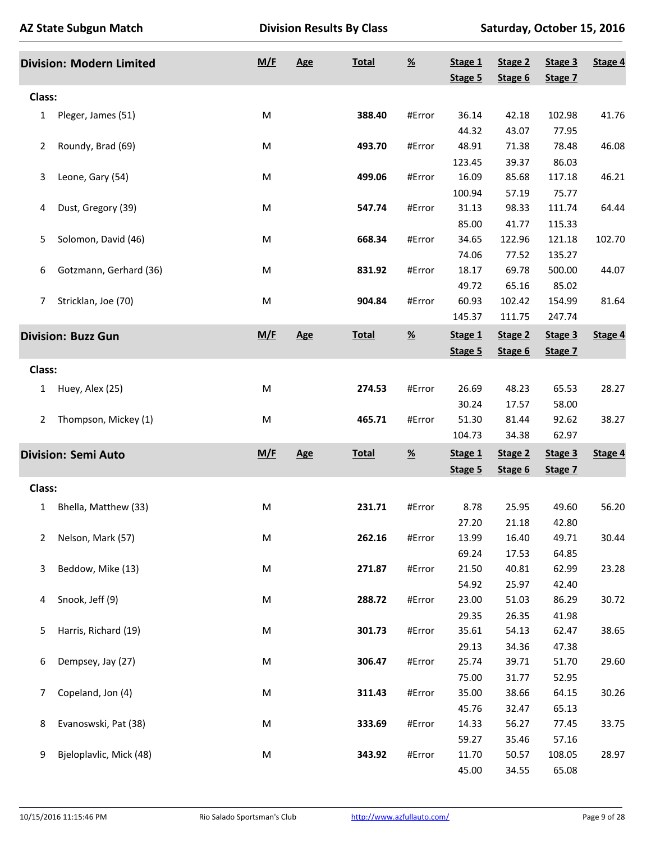|                | <b>Division: Modern Limited</b> | M/F | Age        | <b>Total</b> | $\underline{\mathcal{H}}$ | Stage 1<br>Stage 5 | Stage 2<br>Stage 6 | Stage 3<br>Stage 7 | Stage 4 |
|----------------|---------------------------------|-----|------------|--------------|---------------------------|--------------------|--------------------|--------------------|---------|
| Class:         |                                 |     |            |              |                           |                    |                    |                    |         |
|                |                                 |     |            |              |                           |                    |                    |                    |         |
| 1              | Pleger, James (51)              | M   |            | 388.40       | #Error                    | 36.14              | 42.18              | 102.98             | 41.76   |
|                |                                 |     |            |              |                           | 44.32              | 43.07              | 77.95              |         |
| 2              | Roundy, Brad (69)               | M   |            | 493.70       | #Error                    | 48.91              | 71.38              | 78.48              | 46.08   |
|                |                                 |     |            |              |                           | 123.45             | 39.37              | 86.03              |         |
| 3              | Leone, Gary (54)                | M   |            | 499.06       | #Error                    | 16.09              | 85.68              | 117.18             | 46.21   |
|                |                                 |     |            |              |                           | 100.94             | 57.19              | 75.77              |         |
| 4              | Dust, Gregory (39)              | M   |            | 547.74       | #Error                    | 31.13              | 98.33              | 111.74             | 64.44   |
|                |                                 |     |            |              |                           | 85.00              | 41.77              | 115.33             |         |
| 5              | Solomon, David (46)             | M   |            | 668.34       | #Error                    | 34.65              | 122.96             | 121.18             | 102.70  |
|                |                                 |     |            |              |                           | 74.06              | 77.52              | 135.27             |         |
| 6              | Gotzmann, Gerhard (36)          | M   |            | 831.92       | #Error                    | 18.17              | 69.78              | 500.00             | 44.07   |
|                |                                 |     |            |              |                           | 49.72              | 65.16              | 85.02              |         |
| 7              | Stricklan, Joe (70)             | M   |            | 904.84       | #Error                    | 60.93              | 102.42             | 154.99             | 81.64   |
|                |                                 |     |            |              |                           | 145.37             | 111.75             | 247.74             |         |
|                | <b>Division: Buzz Gun</b>       | M/F | <b>Age</b> | <b>Total</b> | $\underline{\mathcal{H}}$ | Stage 1            | Stage 2            | Stage 3            | Stage 4 |
|                |                                 |     |            |              |                           | Stage 5            | Stage 6            | Stage 7            |         |
| Class:         |                                 |     |            |              |                           |                    |                    |                    |         |
|                |                                 |     |            |              |                           |                    |                    |                    |         |
| 1              | Huey, Alex (25)                 | M   |            | 274.53       | #Error                    | 26.69              | 48.23              | 65.53              | 28.27   |
|                |                                 |     |            |              |                           | 30.24              | 17.57              | 58.00              |         |
| $\overline{2}$ | Thompson, Mickey (1)            | M   |            | 465.71       | #Error                    | 51.30              | 81.44              | 92.62              | 38.27   |
|                |                                 |     |            |              |                           | 104.73             | 34.38              | 62.97              |         |
|                | <b>Division: Semi Auto</b>      | M/F | Age        | <b>Total</b> | $\underline{\mathcal{H}}$ | Stage 1            | Stage 2            | Stage 3            | Stage 4 |
|                |                                 |     |            |              |                           | Stage 5            | Stage 6            | Stage 7            |         |
| Class:         |                                 |     |            |              |                           |                    |                    |                    |         |
| 1              | Bhella, Matthew (33)            | M   |            | 231.71       | #Error                    | 8.78               | 25.95              | 49.60              | 56.20   |
|                |                                 |     |            |              |                           | 27.20              | 21.18              | 42.80              |         |
| 2              | Nelson, Mark (57)               | M   |            | 262.16       | #Error                    | 13.99              | 16.40              | 49.71              | 30.44   |
|                |                                 |     |            |              |                           | 69.24              | 17.53              | 64.85              |         |
| 3              | Beddow, Mike (13)               | M   |            | 271.87       | #Error                    | 21.50              | 40.81              | 62.99              | 23.28   |
|                |                                 |     |            |              |                           | 54.92              | 25.97              |                    |         |
|                | Snook, Jeff (9)                 | M   |            | 288.72       | #Error                    | 23.00              |                    | 42.40<br>86.29     |         |
| 4              |                                 |     |            |              |                           |                    | 51.03              |                    | 30.72   |
|                |                                 |     |            |              |                           | 29.35              | 26.35              | 41.98              |         |
| 5              | Harris, Richard (19)            | M   |            | 301.73       | #Error                    | 35.61              | 54.13              | 62.47              | 38.65   |
|                |                                 |     |            |              |                           | 29.13              | 34.36              | 47.38              |         |
| 6              | Dempsey, Jay (27)               | M   |            | 306.47       | #Error                    | 25.74              | 39.71              | 51.70              | 29.60   |
|                |                                 |     |            |              |                           | 75.00              | 31.77              | 52.95              |         |
| 7              | Copeland, Jon (4)               | M   |            | 311.43       | #Error                    | 35.00              | 38.66              | 64.15              | 30.26   |
|                |                                 |     |            |              |                           | 45.76              | 32.47              | 65.13              |         |
| 8              | Evanoswski, Pat (38)            | M   |            | 333.69       | #Error                    | 14.33              | 56.27              | 77.45              | 33.75   |
|                |                                 |     |            |              |                           | 59.27              | 35.46              | 57.16              |         |
| 9              | Bjeloplavlic, Mick (48)         | M   |            | 343.92       | #Error                    | 11.70              | 50.57              | 108.05             | 28.97   |
|                |                                 |     |            |              |                           | 45.00              |                    |                    |         |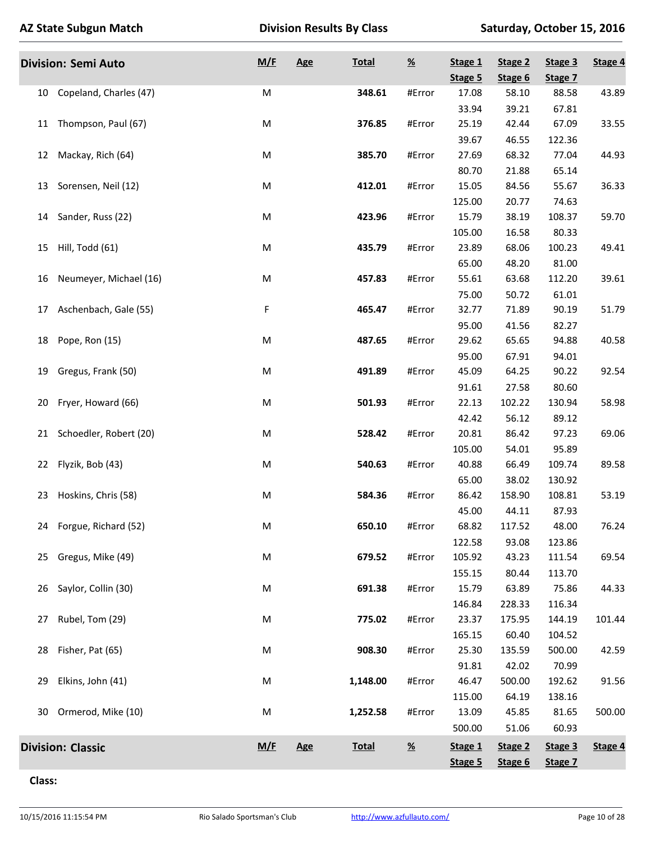|    | <b>Division: Semi Auto</b> | M/F | <b>Age</b> | <b>Total</b> | $\underline{\%}$ | Stage 1<br>Stage 5 | Stage 2<br>Stage 6 | Stage 3<br>Stage 7 | Stage 4 |
|----|----------------------------|-----|------------|--------------|------------------|--------------------|--------------------|--------------------|---------|
| 10 | Copeland, Charles (47)     | M   |            | 348.61       | #Error           | 17.08              | 58.10              | 88.58              | 43.89   |
|    |                            |     |            |              |                  | 33.94              | 39.21              | 67.81              |         |
| 11 | Thompson, Paul (67)        | M   |            | 376.85       | #Error           | 25.19              | 42.44              | 67.09              | 33.55   |
|    |                            |     |            |              |                  | 39.67              | 46.55              | 122.36             |         |
| 12 | Mackay, Rich (64)          | M   |            | 385.70       | #Error           | 27.69              | 68.32              | 77.04              | 44.93   |
|    |                            |     |            |              |                  | 80.70              | 21.88              | 65.14              |         |
|    | 13 Sorensen, Neil (12)     | M   |            | 412.01       | #Error           | 15.05              | 84.56              | 55.67              | 36.33   |
|    |                            |     |            |              |                  | 125.00             | 20.77              | 74.63              |         |
| 14 | Sander, Russ (22)          | M   |            | 423.96       | #Error           | 15.79              | 38.19              | 108.37             | 59.70   |
|    |                            |     |            |              |                  | 105.00             | 16.58              | 80.33              |         |
| 15 | Hill, Todd (61)            | M   |            | 435.79       | #Error           | 23.89              | 68.06              | 100.23             | 49.41   |
|    |                            |     |            |              |                  | 65.00              | 48.20              | 81.00              |         |
| 16 | Neumeyer, Michael (16)     | M   |            | 457.83       | #Error           | 55.61              | 63.68              | 112.20             | 39.61   |
|    |                            |     |            |              |                  | 75.00              | 50.72              | 61.01              |         |
| 17 | Aschenbach, Gale (55)      | F   |            | 465.47       | #Error           | 32.77              | 71.89              | 90.19              | 51.79   |
|    |                            |     |            |              |                  | 95.00              | 41.56              | 82.27              |         |
| 18 | Pope, Ron (15)             | M   |            | 487.65       | #Error           | 29.62              | 65.65              | 94.88              | 40.58   |
|    |                            |     |            |              |                  | 95.00              | 67.91              | 94.01              |         |
| 19 | Gregus, Frank (50)         | M   |            | 491.89       | #Error           | 45.09              | 64.25              | 90.22              | 92.54   |
|    |                            |     |            |              |                  | 91.61              | 27.58              | 80.60              |         |
| 20 | Fryer, Howard (66)         | M   |            | 501.93       | #Error           | 22.13              | 102.22             | 130.94             | 58.98   |
|    |                            |     |            |              |                  | 42.42              | 56.12              | 89.12              |         |
| 21 | Schoedler, Robert (20)     | M   |            | 528.42       | #Error           | 20.81              | 86.42              | 97.23              | 69.06   |
|    |                            |     |            |              |                  | 105.00             | 54.01              | 95.89              |         |
| 22 | Flyzik, Bob (43)           | M   |            | 540.63       | #Error           | 40.88              | 66.49              | 109.74             | 89.58   |
|    |                            |     |            |              |                  | 65.00              | 38.02              | 130.92             |         |
| 23 | Hoskins, Chris (58)        | M   |            | 584.36       | #Error           | 86.42              | 158.90             | 108.81             | 53.19   |
|    |                            |     |            |              |                  | 45.00              | 44.11              | 87.93              |         |
|    | 24 Forgue, Richard (52)    | M   |            | 650.10       | #Error           | 68.82              | 117.52             | 48.00              | 76.24   |
|    |                            |     |            |              |                  | 122.58             | 93.08              | 123.86             |         |
|    | 25 Gregus, Mike (49)       | M   |            | 679.52       | #Error           | 105.92             | 43.23              | 111.54             | 69.54   |
|    |                            |     |            |              |                  | 155.15             | 80.44              | 113.70             |         |
| 26 | Saylor, Collin (30)        | M   |            | 691.38       | #Error           | 15.79              | 63.89              | 75.86              | 44.33   |
|    |                            |     |            |              |                  | 146.84             | 228.33             | 116.34             |         |
| 27 | Rubel, Tom (29)            | M   |            | 775.02       | #Error           | 23.37              | 175.95             | 144.19             | 101.44  |
|    |                            |     |            |              |                  | 165.15             | 60.40              | 104.52             |         |
| 28 | Fisher, Pat (65)           | M   |            | 908.30       | #Error           | 25.30              | 135.59             | 500.00             | 42.59   |
|    |                            |     |            |              |                  | 91.81              | 42.02              | 70.99              |         |
| 29 | Elkins, John (41)          | M   |            | 1,148.00     | #Error           | 46.47              | 500.00             | 192.62             | 91.56   |
|    |                            |     |            |              |                  | 115.00             | 64.19              | 138.16             |         |
| 30 | Ormerod, Mike (10)         | M   |            | 1,252.58     | #Error           | 13.09              | 45.85              | 81.65              | 500.00  |
|    |                            |     |            |              |                  | 500.00             | 51.06              | 60.93              |         |
|    | <b>Division: Classic</b>   | M/E | Age        | <b>Total</b> | $\frac{96}{2}$   | Stage 1            | Stage 2            | Stage 3            | Stage 4 |
|    |                            |     |            |              |                  | Stage 5            | Stage 6            | Stage 7            |         |

**Class:**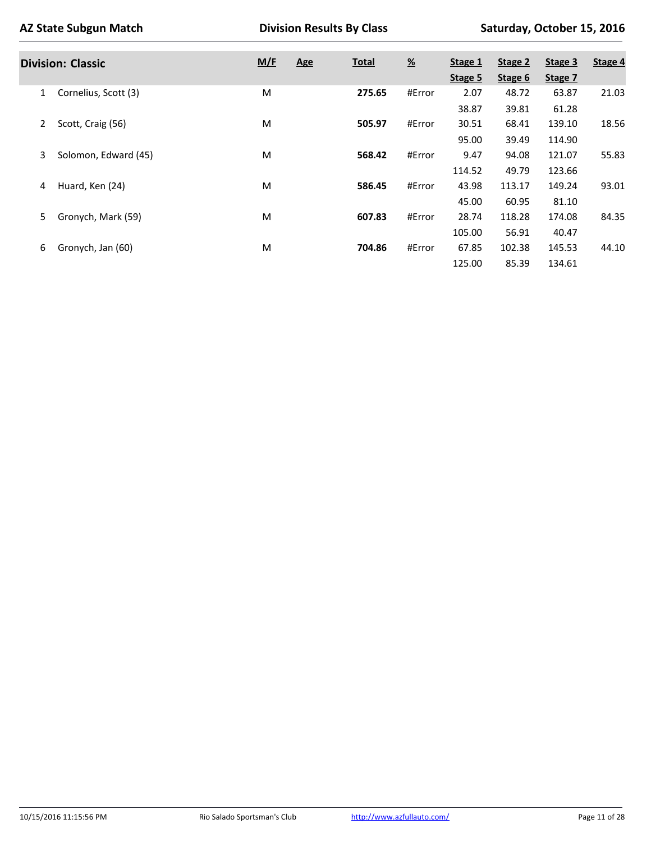|                | AZ State Subgun Match    |     | <b>Division Results By Class</b> |              |               |         | Saturday, October 15, 2016 |         |         |  |  |
|----------------|--------------------------|-----|----------------------------------|--------------|---------------|---------|----------------------------|---------|---------|--|--|
|                | <b>Division: Classic</b> | M/F | <b>Age</b>                       | <u>Total</u> | $\frac{9}{6}$ | Stage 1 | Stage 2                    | Stage 3 | Stage 4 |  |  |
|                |                          |     |                                  |              |               | Stage 5 | Stage 6                    | Stage 7 |         |  |  |
| 1              | Cornelius, Scott (3)     | M   |                                  | 275.65       | #Error        | 2.07    | 48.72                      | 63.87   | 21.03   |  |  |
|                |                          |     |                                  |              |               | 38.87   | 39.81                      | 61.28   |         |  |  |
| $\overline{2}$ | Scott, Craig (56)        | M   |                                  | 505.97       | #Error        | 30.51   | 68.41                      | 139.10  | 18.56   |  |  |
|                |                          |     |                                  |              |               | 95.00   | 39.49                      | 114.90  |         |  |  |
| 3              | Solomon, Edward (45)     | M   |                                  | 568.42       | #Error        | 9.47    | 94.08                      | 121.07  | 55.83   |  |  |
|                |                          |     |                                  |              |               | 114.52  | 49.79                      | 123.66  |         |  |  |
| 4              | Huard, Ken (24)          | M   |                                  | 586.45       | #Error        | 43.98   | 113.17                     | 149.24  | 93.01   |  |  |
|                |                          |     |                                  |              |               | 45.00   | 60.95                      | 81.10   |         |  |  |
| 5              | Gronych, Mark (59)       | M   |                                  | 607.83       | #Error        | 28.74   | 118.28                     | 174.08  | 84.35   |  |  |
|                |                          |     |                                  |              |               | 105.00  | 56.91                      | 40.47   |         |  |  |
| 6              | Gronych, Jan (60)        | M   |                                  | 704.86       | #Error        | 67.85   | 102.38                     | 145.53  | 44.10   |  |  |
|                |                          |     |                                  |              |               | 125.00  | 85.39                      | 134.61  |         |  |  |

 $\mathbf{r}$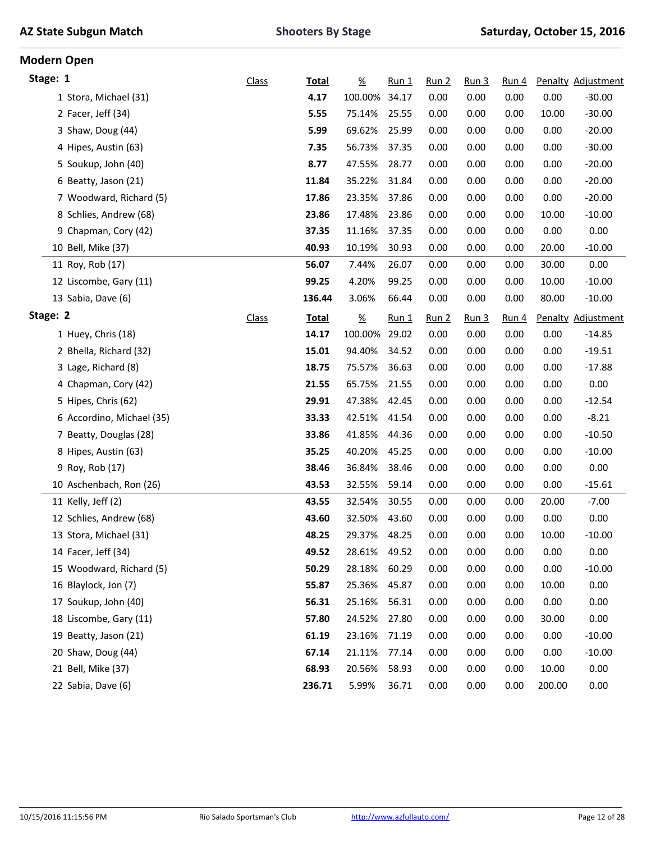| <b>AZ State Subgun Match</b> |  |  |
|------------------------------|--|--|
|------------------------------|--|--|

| <b>Modern Open</b> |                           |              |              |                       |         |                  |                  |                  |        |                    |
|--------------------|---------------------------|--------------|--------------|-----------------------|---------|------------------|------------------|------------------|--------|--------------------|
| Stage: 1           |                           | <b>Class</b> | <b>Total</b> | $\frac{\%}{\sqrt{2}}$ | $Run_1$ | Run <sub>2</sub> | Run <sub>3</sub> | Run <sub>4</sub> |        | Penalty Adjustment |
|                    | 1 Stora, Michael (31)     |              | 4.17         | 100.00%               | 34.17   | 0.00             | 0.00             | 0.00             | 0.00   | $-30.00$           |
|                    | 2 Facer, Jeff (34)        |              | 5.55         | 75.14%                | 25.55   | 0.00             | 0.00             | 0.00             | 10.00  | $-30.00$           |
|                    | 3 Shaw, Doug (44)         |              | 5.99         | 69.62%                | 25.99   | 0.00             | 0.00             | 0.00             | 0.00   | $-20.00$           |
|                    | 4 Hipes, Austin (63)      |              | 7.35         | 56.73%                | 37.35   | 0.00             | 0.00             | 0.00             | 0.00   | $-30.00$           |
|                    | 5 Soukup, John (40)       |              | 8.77         | 47.55%                | 28.77   | 0.00             | 0.00             | 0.00             | 0.00   | $-20.00$           |
|                    | 6 Beatty, Jason (21)      |              | 11.84        | 35.22%                | 31.84   | 0.00             | 0.00             | 0.00             | 0.00   | $-20.00$           |
|                    | 7 Woodward, Richard (5)   |              | 17.86        | 23.35%                | 37.86   | 0.00             | 0.00             | 0.00             | 0.00   | $-20.00$           |
|                    | 8 Schlies, Andrew (68)    |              | 23.86        | 17.48%                | 23.86   | 0.00             | 0.00             | 0.00             | 10.00  | $-10.00$           |
|                    | 9 Chapman, Cory (42)      |              | 37.35        | 11.16%                | 37.35   | 0.00             | 0.00             | 0.00             | 0.00   | 0.00               |
|                    | 10 Bell, Mike (37)        |              | 40.93        | 10.19%                | 30.93   | 0.00             | 0.00             | 0.00             | 20.00  | $-10.00$           |
|                    | 11 Roy, Rob (17)          |              | 56.07        | 7.44%                 | 26.07   | 0.00             | 0.00             | 0.00             | 30.00  | 0.00               |
|                    | 12 Liscombe, Gary (11)    |              | 99.25        | 4.20%                 | 99.25   | 0.00             | 0.00             | 0.00             | 10.00  | $-10.00$           |
|                    | 13 Sabia, Dave (6)        |              | 136.44       | 3.06%                 | 66.44   | 0.00             | 0.00             | 0.00             | 80.00  | $-10.00$           |
| Stage: 2           |                           | <b>Class</b> | <b>Total</b> | $\underline{\%}$      | $Run_1$ | Run 2            | Run <sub>3</sub> | Run <sub>4</sub> |        | Penalty Adjustment |
|                    | 1 Huey, Chris (18)        |              | 14.17        | 100.00%               | 29.02   | 0.00             | 0.00             | 0.00             | 0.00   | $-14.85$           |
|                    | 2 Bhella, Richard (32)    |              | 15.01        | 94.40%                | 34.52   | 0.00             | 0.00             | 0.00             | 0.00   | $-19.51$           |
|                    | 3 Lage, Richard (8)       |              | 18.75        | 75.57%                | 36.63   | 0.00             | 0.00             | 0.00             | 0.00   | $-17.88$           |
|                    | 4 Chapman, Cory (42)      |              | 21.55        | 65.75%                | 21.55   | 0.00             | 0.00             | 0.00             | 0.00   | 0.00               |
|                    | 5 Hipes, Chris (62)       |              | 29.91        | 47.38%                | 42.45   | 0.00             | 0.00             | 0.00             | 0.00   | $-12.54$           |
|                    | 6 Accordino, Michael (35) |              | 33.33        | 42.51%                | 41.54   | 0.00             | 0.00             | 0.00             | 0.00   | $-8.21$            |
|                    | 7 Beatty, Douglas (28)    |              | 33.86        | 41.85%                | 44.36   | 0.00             | 0.00             | 0.00             | 0.00   | $-10.50$           |
|                    | 8 Hipes, Austin (63)      |              | 35.25        | 40.20%                | 45.25   | 0.00             | 0.00             | 0.00             | 0.00   | $-10.00$           |
|                    | 9 Roy, Rob (17)           |              | 38.46        | 36.84%                | 38.46   | 0.00             | 0.00             | 0.00             | 0.00   | 0.00               |
|                    | 10 Aschenbach, Ron (26)   |              | 43.53        | 32.55%                | 59.14   | 0.00             | 0.00             | 0.00             | 0.00   | $-15.61$           |
|                    | 11 Kelly, Jeff (2)        |              | 43.55        | 32.54%                | 30.55   | 0.00             | 0.00             | 0.00             | 20.00  | $-7.00$            |
|                    | 12 Schlies, Andrew (68)   |              | 43.60        | 32.50%                | 43.60   | 0.00             | 0.00             | 0.00             | 0.00   | 0.00               |
|                    | 13 Stora, Michael (31)    |              | 48.25        | 29.37%                | 48.25   | 0.00             | 0.00             | 0.00             | 10.00  | $-10.00$           |
|                    | 14 Facer, Jeff (34)       |              | 49.52        | 28.61%                | 49.52   | 0.00             | 0.00             | 0.00             | 0.00   | 0.00               |
|                    | 15 Woodward, Richard (5)  |              | 50.29        | 28.18%                | 60.29   | 0.00             | 0.00             | 0.00             | 0.00   | $-10.00$           |
|                    | 16 Blaylock, Jon (7)      |              | 55.87        | 25.36%                | 45.87   | 0.00             | 0.00             | 0.00             | 10.00  | 0.00               |
|                    | 17 Soukup, John (40)      |              | 56.31        | 25.16%                | 56.31   | 0.00             | 0.00             | 0.00             | 0.00   | 0.00               |
|                    | 18 Liscombe, Gary (11)    |              | 57.80        | 24.52%                | 27.80   | 0.00             | 0.00             | 0.00             | 30.00  | 0.00               |
|                    | 19 Beatty, Jason (21)     |              | 61.19        | 23.16%                | 71.19   | 0.00             | 0.00             | 0.00             | 0.00   | $-10.00$           |
|                    | 20 Shaw, Doug (44)        |              | 67.14        | 21.11%                | 77.14   | 0.00             | 0.00             | 0.00             | 0.00   | $-10.00$           |
|                    | 21 Bell, Mike (37)        |              | 68.93        | 20.56%                | 58.93   | 0.00             | 0.00             | 0.00             | 10.00  | 0.00               |
|                    | 22 Sabia, Dave (6)        |              | 236.71       | 5.99%                 | 36.71   | 0.00             | 0.00             | 0.00             | 200.00 | 0.00               |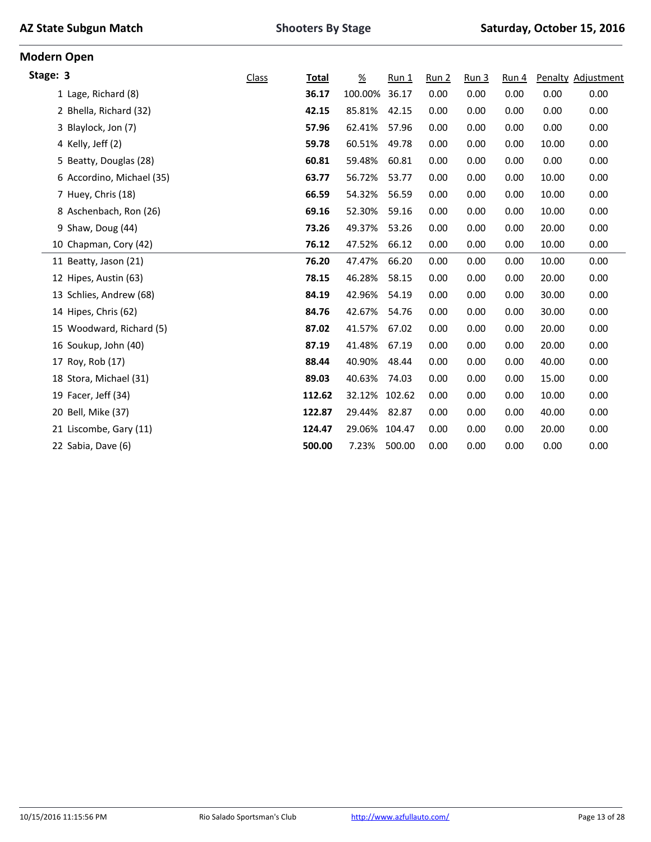|  |  | <b>AZ State Subgun Match</b> |  |
|--|--|------------------------------|--|
|--|--|------------------------------|--|

| <b>Modern Open</b>    |                           |       |              |                  |         |       |                  |       |       |                           |
|-----------------------|---------------------------|-------|--------------|------------------|---------|-------|------------------|-------|-------|---------------------------|
| Stage: 3              |                           | Class | <b>Total</b> | $\underline{\%}$ | $Run_1$ | Run 2 | Run <sub>3</sub> | Run 4 |       | <b>Penalty Adjustment</b> |
|                       | 1 Lage, Richard (8)       |       | 36.17        | 100.00%          | 36.17   | 0.00  | 0.00             | 0.00  | 0.00  | 0.00                      |
|                       | 2 Bhella, Richard (32)    |       | 42.15        | 85.81%           | 42.15   | 0.00  | 0.00             | 0.00  | 0.00  | 0.00                      |
| 3 Blaylock, Jon (7)   |                           |       | 57.96        | 62.41%           | 57.96   | 0.00  | 0.00             | 0.00  | 0.00  | 0.00                      |
| 4 Kelly, Jeff (2)     |                           |       | 59.78        | 60.51%           | 49.78   | 0.00  | 0.00             | 0.00  | 10.00 | 0.00                      |
|                       | 5 Beatty, Douglas (28)    |       | 60.81        | 59.48%           | 60.81   | 0.00  | 0.00             | 0.00  | 0.00  | 0.00                      |
|                       | 6 Accordino, Michael (35) |       | 63.77        | 56.72%           | 53.77   | 0.00  | 0.00             | 0.00  | 10.00 | 0.00                      |
| 7 Huey, Chris (18)    |                           |       | 66.59        | 54.32%           | 56.59   | 0.00  | 0.00             | 0.00  | 10.00 | 0.00                      |
|                       | 8 Aschenbach, Ron (26)    |       | 69.16        | 52.30%           | 59.16   | 0.00  | 0.00             | 0.00  | 10.00 | 0.00                      |
|                       | 9 Shaw, Doug (44)         |       | 73.26        | 49.37%           | 53.26   | 0.00  | 0.00             | 0.00  | 20.00 | 0.00                      |
|                       | 10 Chapman, Cory (42)     |       | 76.12        | 47.52%           | 66.12   | 0.00  | 0.00             | 0.00  | 10.00 | 0.00                      |
|                       | 11 Beatty, Jason (21)     |       | 76.20        | 47.47%           | 66.20   | 0.00  | 0.00             | 0.00  | 10.00 | 0.00                      |
| 12 Hipes, Austin (63) |                           |       | 78.15        | 46.28%           | 58.15   | 0.00  | 0.00             | 0.00  | 20.00 | 0.00                      |
|                       | 13 Schlies, Andrew (68)   |       | 84.19        | 42.96%           | 54.19   | 0.00  | 0.00             | 0.00  | 30.00 | 0.00                      |
| 14 Hipes, Chris (62)  |                           |       | 84.76        | 42.67%           | 54.76   | 0.00  | 0.00             | 0.00  | 30.00 | 0.00                      |
|                       | 15 Woodward, Richard (5)  |       | 87.02        | 41.57%           | 67.02   | 0.00  | 0.00             | 0.00  | 20.00 | 0.00                      |
|                       | 16 Soukup, John (40)      |       | 87.19        | 41.48%           | 67.19   | 0.00  | 0.00             | 0.00  | 20.00 | 0.00                      |
| 17 Roy, Rob (17)      |                           |       | 88.44        | 40.90%           | 48.44   | 0.00  | 0.00             | 0.00  | 40.00 | 0.00                      |
|                       | 18 Stora, Michael (31)    |       | 89.03        | 40.63%           | 74.03   | 0.00  | 0.00             | 0.00  | 15.00 | 0.00                      |
| 19 Facer, Jeff (34)   |                           |       | 112.62       | 32.12%           | 102.62  | 0.00  | 0.00             | 0.00  | 10.00 | 0.00                      |
| 20 Bell, Mike (37)    |                           |       | 122.87       | 29.44%           | 82.87   | 0.00  | 0.00             | 0.00  | 40.00 | 0.00                      |
|                       | 21 Liscombe, Gary (11)    |       | 124.47       | 29.06%           | 104.47  | 0.00  | 0.00             | 0.00  | 20.00 | 0.00                      |
| 22 Sabia, Dave (6)    |                           |       | 500.00       | 7.23%            | 500.00  | 0.00  | 0.00             | 0.00  | 0.00  | 0.00                      |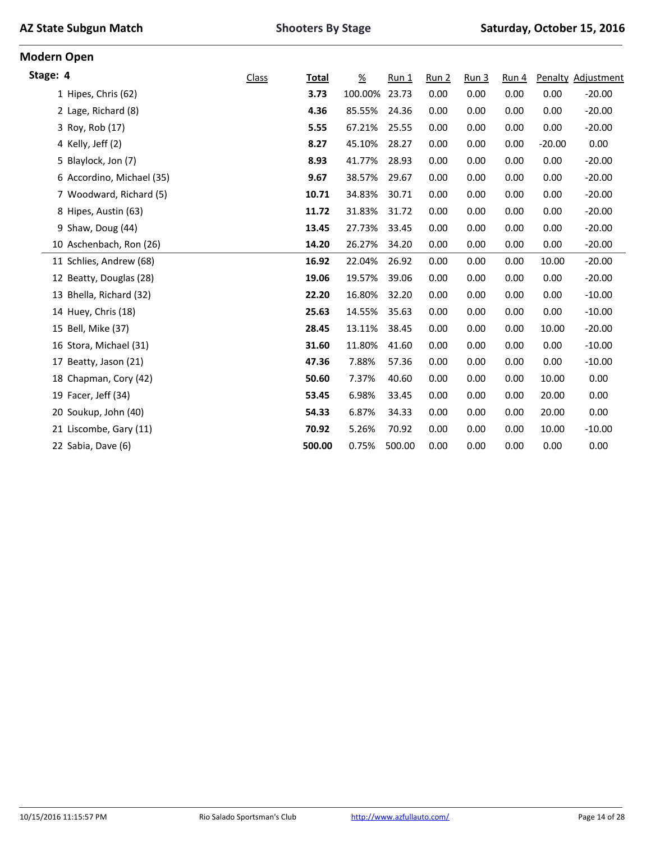|  |  | <b>AZ State Subgun Match</b> |  |
|--|--|------------------------------|--|
|--|--|------------------------------|--|

|                           | <b>Class</b> | <b>Total</b> | $\underline{\%}$ | $Run_1$ | Run 2 | Run <sub>3</sub> | Run 4 |          | Penalty Adjustment |
|---------------------------|--------------|--------------|------------------|---------|-------|------------------|-------|----------|--------------------|
| 1 Hipes, Chris (62)       |              | 3.73         | 100.00%          | 23.73   | 0.00  | 0.00             | 0.00  | 0.00     | $-20.00$           |
| 2 Lage, Richard (8)       |              | 4.36         | 85.55%           | 24.36   | 0.00  | 0.00             | 0.00  | 0.00     | $-20.00$           |
| 3 Roy, Rob (17)           |              | 5.55         | 67.21%           | 25.55   | 0.00  | 0.00             | 0.00  | 0.00     | $-20.00$           |
| 4 Kelly, Jeff (2)         |              | 8.27         | 45.10%           | 28.27   | 0.00  | 0.00             | 0.00  | $-20.00$ | 0.00               |
| 5 Blaylock, Jon (7)       |              | 8.93         | 41.77%           | 28.93   | 0.00  | 0.00             | 0.00  | 0.00     | $-20.00$           |
| 6 Accordino, Michael (35) |              | 9.67         | 38.57%           | 29.67   | 0.00  | 0.00             | 0.00  | 0.00     | $-20.00$           |
| 7 Woodward, Richard (5)   |              | 10.71        | 34.83%           | 30.71   | 0.00  | 0.00             | 0.00  | 0.00     | $-20.00$           |
| 8 Hipes, Austin (63)      |              | 11.72        | 31.83%           | 31.72   | 0.00  | 0.00             | 0.00  | 0.00     | $-20.00$           |
| 9 Shaw, Doug (44)         |              | 13.45        | 27.73%           | 33.45   | 0.00  | 0.00             | 0.00  | 0.00     | $-20.00$           |
| 10 Aschenbach, Ron (26)   |              | 14.20        | 26.27%           | 34.20   | 0.00  | 0.00             | 0.00  | 0.00     | $-20.00$           |
| 11 Schlies, Andrew (68)   |              | 16.92        | 22.04%           | 26.92   | 0.00  | 0.00             | 0.00  | 10.00    | $-20.00$           |
| 12 Beatty, Douglas (28)   |              | 19.06        | 19.57%           | 39.06   | 0.00  | 0.00             | 0.00  | 0.00     | $-20.00$           |
| 13 Bhella, Richard (32)   |              | 22.20        | 16.80%           | 32.20   | 0.00  | 0.00             | 0.00  | 0.00     | $-10.00$           |
| 14 Huey, Chris (18)       |              | 25.63        | 14.55%           | 35.63   | 0.00  | 0.00             | 0.00  | 0.00     | $-10.00$           |
| 15 Bell, Mike (37)        |              | 28.45        | 13.11%           | 38.45   | 0.00  | 0.00             | 0.00  | 10.00    | $-20.00$           |
| 16 Stora, Michael (31)    |              | 31.60        | 11.80%           | 41.60   | 0.00  | 0.00             | 0.00  | 0.00     | $-10.00$           |
| 17 Beatty, Jason (21)     |              | 47.36        | 7.88%            | 57.36   | 0.00  | 0.00             | 0.00  | 0.00     | $-10.00$           |
| 18 Chapman, Cory (42)     |              | 50.60        | 7.37%            | 40.60   | 0.00  | 0.00             | 0.00  | 10.00    | 0.00               |
| 19 Facer, Jeff (34)       |              | 53.45        | 6.98%            | 33.45   | 0.00  | 0.00             | 0.00  | 20.00    | 0.00               |
| 20 Soukup, John (40)      |              | 54.33        | 6.87%            | 34.33   | 0.00  | 0.00             | 0.00  | 20.00    | 0.00               |
| 21 Liscombe, Gary (11)    |              | 70.92        | 5.26%            | 70.92   | 0.00  | 0.00             | 0.00  | 10.00    | $-10.00$           |
| 22 Sabia, Dave (6)        |              | 500.00       | 0.75%            | 500.00  | 0.00  | 0.00             | 0.00  | 0.00     | 0.00               |
|                           |              |              |                  |         |       |                  |       |          |                    |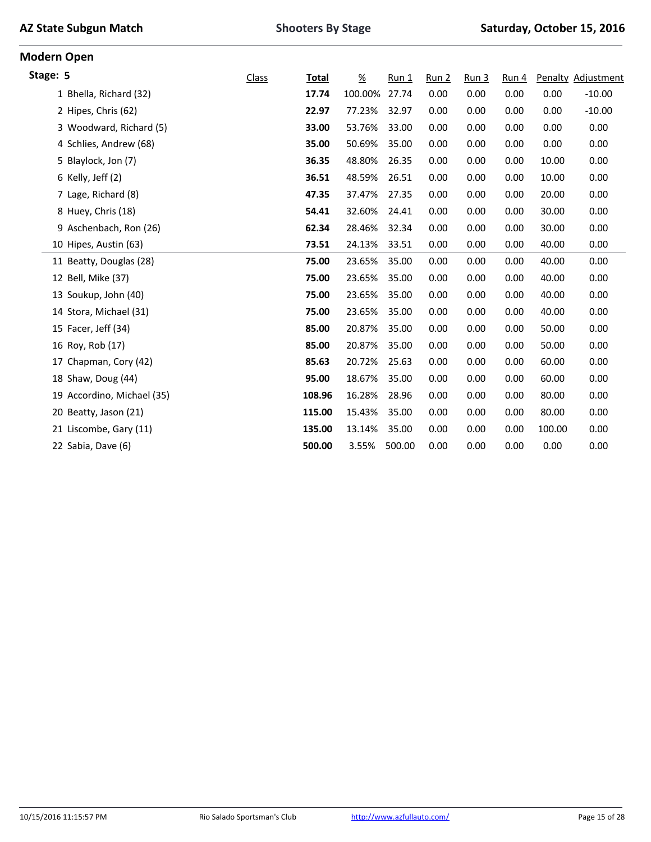|  |  | <b>AZ State Subgun Match</b> |  |
|--|--|------------------------------|--|
|--|--|------------------------------|--|

| <b>Modern Open</b>      |                            |              |              |                  |         |                  |                  |       |        |                    |
|-------------------------|----------------------------|--------------|--------------|------------------|---------|------------------|------------------|-------|--------|--------------------|
| Stage: 5                |                            | <b>Class</b> | <b>Total</b> | $\underline{\%}$ | $Run_1$ | Run <sub>2</sub> | Run <sub>3</sub> | Run 4 |        | Penalty Adjustment |
|                         | 1 Bhella, Richard (32)     |              | 17.74        | 100.00%          | 27.74   | 0.00             | 0.00             | 0.00  | 0.00   | $-10.00$           |
| 2 Hipes, Chris (62)     |                            |              | 22.97        | 77.23%           | 32.97   | 0.00             | 0.00             | 0.00  | 0.00   | $-10.00$           |
|                         | 3 Woodward, Richard (5)    |              | 33.00        | 53.76%           | 33.00   | 0.00             | 0.00             | 0.00  | 0.00   | 0.00               |
|                         | 4 Schlies, Andrew (68)     |              | 35.00        | 50.69%           | 35.00   | 0.00             | 0.00             | 0.00  | 0.00   | 0.00               |
| 5 Blaylock, Jon (7)     |                            |              | 36.35        | 48.80%           | 26.35   | 0.00             | 0.00             | 0.00  | 10.00  | 0.00               |
| 6 Kelly, Jeff (2)       |                            |              | 36.51        | 48.59%           | 26.51   | 0.00             | 0.00             | 0.00  | 10.00  | 0.00               |
| 7 Lage, Richard (8)     |                            |              | 47.35        | 37.47%           | 27.35   | 0.00             | 0.00             | 0.00  | 20.00  | 0.00               |
| 8 Huey, Chris (18)      |                            |              | 54.41        | 32.60%           | 24.41   | 0.00             | 0.00             | 0.00  | 30.00  | 0.00               |
|                         | 9 Aschenbach, Ron (26)     |              | 62.34        | 28.46%           | 32.34   | 0.00             | 0.00             | 0.00  | 30.00  | 0.00               |
| 10 Hipes, Austin (63)   |                            |              | 73.51        | 24.13%           | 33.51   | 0.00             | 0.00             | 0.00  | 40.00  | 0.00               |
| 11 Beatty, Douglas (28) |                            |              | 75.00        | 23.65%           | 35.00   | 0.00             | 0.00             | 0.00  | 40.00  | 0.00               |
| 12 Bell, Mike (37)      |                            |              | 75.00        | 23.65%           | 35.00   | 0.00             | 0.00             | 0.00  | 40.00  | 0.00               |
| 13 Soukup, John (40)    |                            |              | 75.00        | 23.65%           | 35.00   | 0.00             | 0.00             | 0.00  | 40.00  | 0.00               |
| 14 Stora, Michael (31)  |                            |              | 75.00        | 23.65%           | 35.00   | 0.00             | 0.00             | 0.00  | 40.00  | 0.00               |
| 15 Facer, Jeff (34)     |                            |              | 85.00        | 20.87%           | 35.00   | 0.00             | 0.00             | 0.00  | 50.00  | 0.00               |
| 16 Roy, Rob (17)        |                            |              | 85.00        | 20.87%           | 35.00   | 0.00             | 0.00             | 0.00  | 50.00  | 0.00               |
| 17 Chapman, Cory (42)   |                            |              | 85.63        | 20.72%           | 25.63   | 0.00             | 0.00             | 0.00  | 60.00  | 0.00               |
| 18 Shaw, Doug (44)      |                            |              | 95.00        | 18.67%           | 35.00   | 0.00             | 0.00             | 0.00  | 60.00  | 0.00               |
|                         | 19 Accordino, Michael (35) |              | 108.96       | 16.28%           | 28.96   | 0.00             | 0.00             | 0.00  | 80.00  | 0.00               |
| 20 Beatty, Jason (21)   |                            |              | 115.00       | 15.43%           | 35.00   | 0.00             | 0.00             | 0.00  | 80.00  | 0.00               |
| 21 Liscombe, Gary (11)  |                            |              | 135.00       | 13.14%           | 35.00   | 0.00             | 0.00             | 0.00  | 100.00 | 0.00               |
| 22 Sabia, Dave (6)      |                            |              | 500.00       | 3.55%            | 500.00  | 0.00             | 0.00             | 0.00  | 0.00   | 0.00               |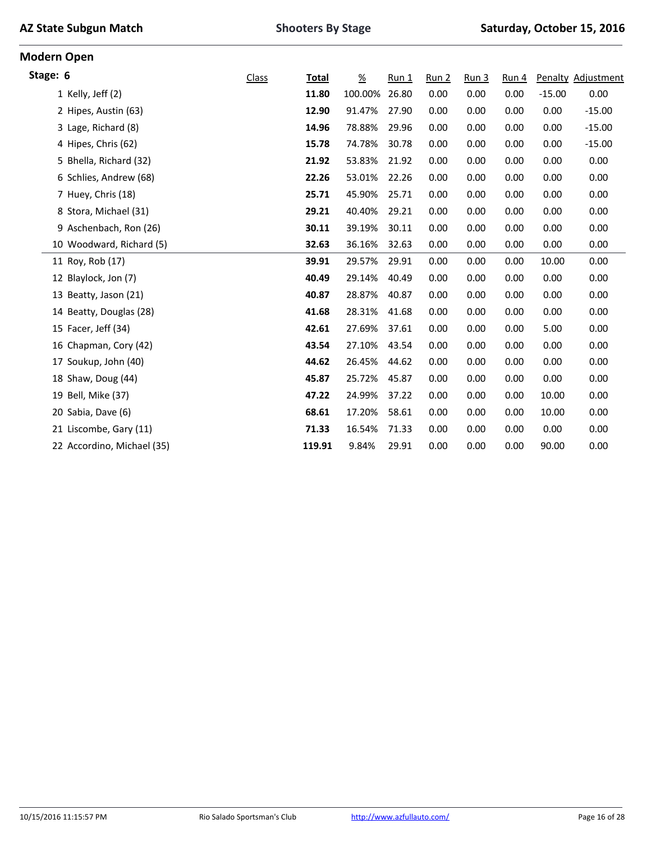|  |  | <b>AZ State Subgun Match</b> |  |
|--|--|------------------------------|--|
|--|--|------------------------------|--|

**Modern Open**

| Stage: 6                   | <b>Class</b> | <b>Total</b> | $\frac{\%}{\sqrt{2}}$ | Run 1 | Run <sub>2</sub> | Run <sub>3</sub> | Run 4 |          | Penalty Adjustment |
|----------------------------|--------------|--------------|-----------------------|-------|------------------|------------------|-------|----------|--------------------|
| 1 Kelly, Jeff (2)          |              | 11.80        | 100.00%               | 26.80 | 0.00             | 0.00             | 0.00  | $-15.00$ | 0.00               |
| 2 Hipes, Austin (63)       |              | 12.90        | 91.47%                | 27.90 | 0.00             | 0.00             | 0.00  | 0.00     | $-15.00$           |
| 3 Lage, Richard (8)        |              | 14.96        | 78.88%                | 29.96 | 0.00             | 0.00             | 0.00  | 0.00     | $-15.00$           |
| 4 Hipes, Chris (62)        |              | 15.78        | 74.78%                | 30.78 | 0.00             | 0.00             | 0.00  | 0.00     | $-15.00$           |
| 5 Bhella, Richard (32)     |              | 21.92        | 53.83%                | 21.92 | 0.00             | 0.00             | 0.00  | 0.00     | 0.00               |
| 6 Schlies, Andrew (68)     |              | 22.26        | 53.01%                | 22.26 | 0.00             | 0.00             | 0.00  | 0.00     | 0.00               |
| 7 Huey, Chris (18)         |              | 25.71        | 45.90%                | 25.71 | 0.00             | 0.00             | 0.00  | 0.00     | 0.00               |
| 8 Stora, Michael (31)      |              | 29.21        | 40.40%                | 29.21 | 0.00             | 0.00             | 0.00  | 0.00     | 0.00               |
| 9 Aschenbach, Ron (26)     |              | 30.11        | 39.19%                | 30.11 | 0.00             | 0.00             | 0.00  | 0.00     | 0.00               |
| 10 Woodward, Richard (5)   |              | 32.63        | 36.16%                | 32.63 | 0.00             | 0.00             | 0.00  | 0.00     | 0.00               |
| 11 Roy, Rob (17)           |              | 39.91        | 29.57%                | 29.91 | 0.00             | 0.00             | 0.00  | 10.00    | 0.00               |
| 12 Blaylock, Jon (7)       |              | 40.49        | 29.14%                | 40.49 | 0.00             | 0.00             | 0.00  | 0.00     | 0.00               |
| 13 Beatty, Jason (21)      |              | 40.87        | 28.87%                | 40.87 | 0.00             | 0.00             | 0.00  | 0.00     | 0.00               |
| 14 Beatty, Douglas (28)    |              | 41.68        | 28.31%                | 41.68 | 0.00             | 0.00             | 0.00  | 0.00     | 0.00               |
| 15 Facer, Jeff (34)        |              | 42.61        | 27.69%                | 37.61 | 0.00             | 0.00             | 0.00  | 5.00     | 0.00               |
| 16 Chapman, Cory (42)      |              | 43.54        | 27.10%                | 43.54 | 0.00             | 0.00             | 0.00  | 0.00     | 0.00               |
| 17 Soukup, John (40)       |              | 44.62        | 26.45%                | 44.62 | 0.00             | 0.00             | 0.00  | 0.00     | 0.00               |
| 18 Shaw, Doug (44)         |              | 45.87        | 25.72%                | 45.87 | 0.00             | 0.00             | 0.00  | 0.00     | 0.00               |
| 19 Bell, Mike (37)         |              | 47.22        | 24.99%                | 37.22 | 0.00             | 0.00             | 0.00  | 10.00    | 0.00               |
| 20 Sabia, Dave (6)         |              | 68.61        | 17.20%                | 58.61 | 0.00             | 0.00             | 0.00  | 10.00    | 0.00               |
| 21 Liscombe, Gary (11)     |              | 71.33        | 16.54%                | 71.33 | 0.00             | 0.00             | 0.00  | 0.00     | 0.00               |
| 22 Accordino, Michael (35) |              | 119.91       | 9.84%                 | 29.91 | 0.00             | 0.00             | 0.00  | 90.00    | 0.00               |
|                            |              |              |                       |       |                  |                  |       |          |                    |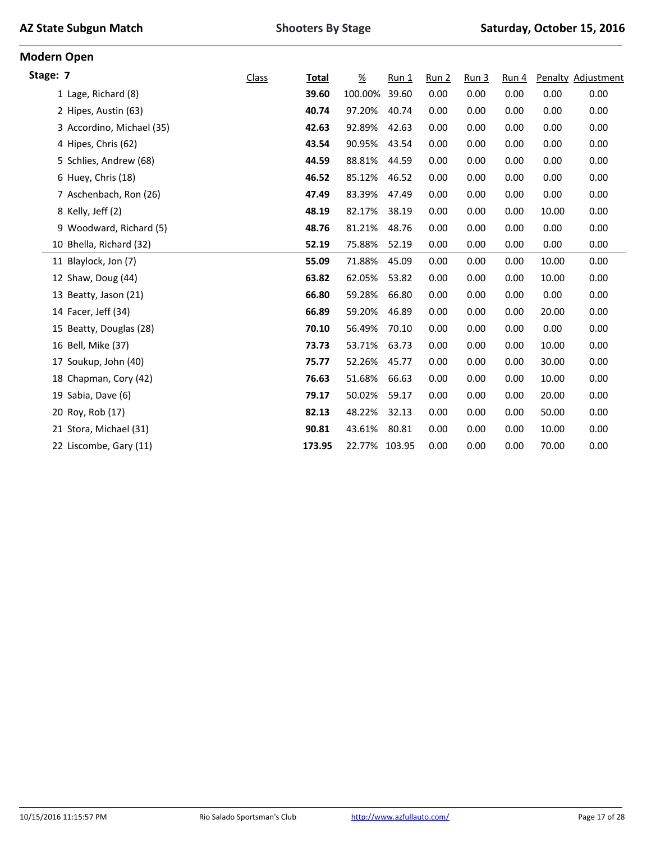|  |  | <b>AZ State Subgun Match</b> |  |
|--|--|------------------------------|--|
|--|--|------------------------------|--|

**Modern Open**

| Stage: 7                  | <b>Class</b> | Total  | $\frac{\%}{\sqrt{2}}$ | $Run_1$ | Run 2 | Run 3 | Run 4 |       | Penalty Adjustment |
|---------------------------|--------------|--------|-----------------------|---------|-------|-------|-------|-------|--------------------|
| 1 Lage, Richard (8)       |              | 39.60  | 100.00%               | 39.60   | 0.00  | 0.00  | 0.00  | 0.00  | 0.00               |
| 2 Hipes, Austin (63)      |              | 40.74  | 97.20%                | 40.74   | 0.00  | 0.00  | 0.00  | 0.00  | 0.00               |
| 3 Accordino, Michael (35) |              | 42.63  | 92.89%                | 42.63   | 0.00  | 0.00  | 0.00  | 0.00  | 0.00               |
| 4 Hipes, Chris (62)       |              | 43.54  | 90.95%                | 43.54   | 0.00  | 0.00  | 0.00  | 0.00  | 0.00               |
| 5 Schlies, Andrew (68)    |              | 44.59  | 88.81%                | 44.59   | 0.00  | 0.00  | 0.00  | 0.00  | 0.00               |
| 6 Huey, Chris (18)        |              | 46.52  | 85.12%                | 46.52   | 0.00  | 0.00  | 0.00  | 0.00  | 0.00               |
| 7 Aschenbach, Ron (26)    |              | 47.49  | 83.39%                | 47.49   | 0.00  | 0.00  | 0.00  | 0.00  | 0.00               |
| 8 Kelly, Jeff (2)         |              | 48.19  | 82.17%                | 38.19   | 0.00  | 0.00  | 0.00  | 10.00 | 0.00               |
| 9 Woodward, Richard (5)   |              | 48.76  | 81.21%                | 48.76   | 0.00  | 0.00  | 0.00  | 0.00  | 0.00               |
| 10 Bhella, Richard (32)   |              | 52.19  | 75.88%                | 52.19   | 0.00  | 0.00  | 0.00  | 0.00  | 0.00               |
| 11 Blaylock, Jon (7)      |              | 55.09  | 71.88%                | 45.09   | 0.00  | 0.00  | 0.00  | 10.00 | 0.00               |
| 12 Shaw, Doug (44)        |              | 63.82  | 62.05%                | 53.82   | 0.00  | 0.00  | 0.00  | 10.00 | 0.00               |
| 13 Beatty, Jason (21)     |              | 66.80  | 59.28%                | 66.80   | 0.00  | 0.00  | 0.00  | 0.00  | 0.00               |
| 14 Facer, Jeff (34)       |              | 66.89  | 59.20%                | 46.89   | 0.00  | 0.00  | 0.00  | 20.00 | 0.00               |
| 15 Beatty, Douglas (28)   |              | 70.10  | 56.49%                | 70.10   | 0.00  | 0.00  | 0.00  | 0.00  | 0.00               |
| 16 Bell, Mike (37)        |              | 73.73  | 53.71%                | 63.73   | 0.00  | 0.00  | 0.00  | 10.00 | 0.00               |
| 17 Soukup, John (40)      |              | 75.77  | 52.26%                | 45.77   | 0.00  | 0.00  | 0.00  | 30.00 | 0.00               |
| 18 Chapman, Cory (42)     |              | 76.63  | 51.68%                | 66.63   | 0.00  | 0.00  | 0.00  | 10.00 | 0.00               |
| 19 Sabia, Dave (6)        |              | 79.17  | 50.02%                | 59.17   | 0.00  | 0.00  | 0.00  | 20.00 | 0.00               |
| 20 Roy, Rob (17)          |              | 82.13  | 48.22%                | 32.13   | 0.00  | 0.00  | 0.00  | 50.00 | 0.00               |
| 21 Stora, Michael (31)    |              | 90.81  | 43.61%                | 80.81   | 0.00  | 0.00  | 0.00  | 10.00 | 0.00               |
| 22 Liscombe, Gary (11)    |              | 173.95 | 22.77% 103.95         |         | 0.00  | 0.00  | 0.00  | 70.00 | 0.00               |
|                           |              |        |                       |         |       |       |       |       |                    |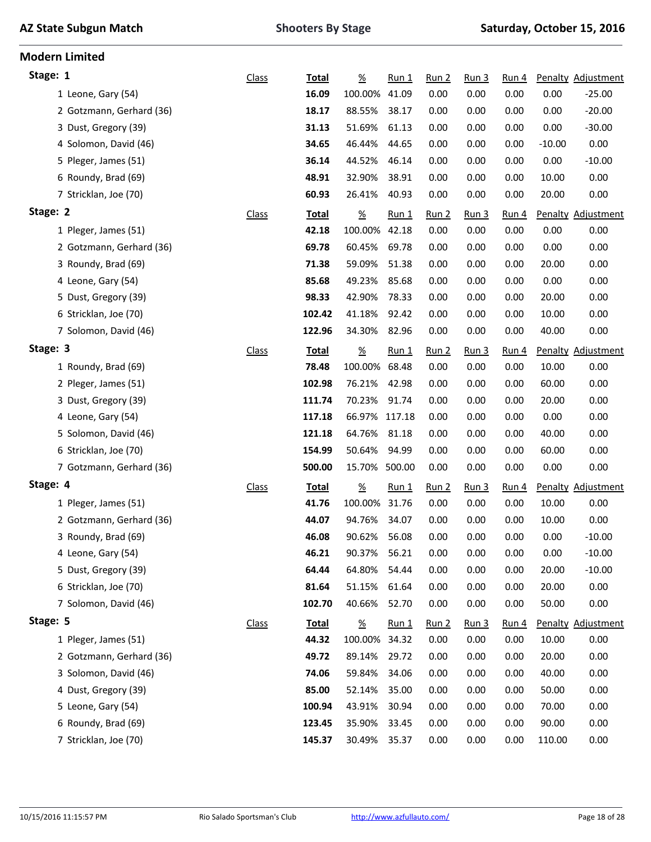**Modern Limited**

| Stage: 1                 | <b>Class</b> | <b>Total</b> | $\frac{9}{6}$         | $Run_1$      | <u>Run 2</u>     | Run <sub>3</sub> | Run 4            |          | Penalty Adjustment |
|--------------------------|--------------|--------------|-----------------------|--------------|------------------|------------------|------------------|----------|--------------------|
| 1 Leone, Gary (54)       |              | 16.09        | 100.00%               | 41.09        | 0.00             | 0.00             | 0.00             | 0.00     | $-25.00$           |
| 2 Gotzmann, Gerhard (36) |              | 18.17        | 88.55%                | 38.17        | 0.00             | 0.00             | 0.00             | 0.00     | $-20.00$           |
| 3 Dust, Gregory (39)     |              | 31.13        | 51.69%                | 61.13        | 0.00             | 0.00             | 0.00             | 0.00     | $-30.00$           |
| 4 Solomon, David (46)    |              | 34.65        | 46.44%                | 44.65        | 0.00             | 0.00             | 0.00             | $-10.00$ | 0.00               |
| 5 Pleger, James (51)     |              | 36.14        | 44.52%                | 46.14        | 0.00             | 0.00             | 0.00             | 0.00     | $-10.00$           |
| 6 Roundy, Brad (69)      |              | 48.91        | 32.90%                | 38.91        | 0.00             | 0.00             | 0.00             | 10.00    | 0.00               |
| 7 Stricklan, Joe (70)    |              | 60.93        | 26.41%                | 40.93        | 0.00             | 0.00             | 0.00             | 20.00    | 0.00               |
| Stage: 2                 | <b>Class</b> | <b>Total</b> | $\frac{\%}{\sqrt{2}}$ | $Run_1$      | Run 2            | Run <sub>3</sub> | Run 4            |          | Penalty Adjustment |
| 1 Pleger, James (51)     |              | 42.18        | 100.00%               | 42.18        | 0.00             | 0.00             | 0.00             | 0.00     | 0.00               |
| 2 Gotzmann, Gerhard (36) |              | 69.78        | 60.45%                | 69.78        | 0.00             | 0.00             | 0.00             | 0.00     | 0.00               |
| 3 Roundy, Brad (69)      |              | 71.38        | 59.09%                | 51.38        | 0.00             | 0.00             | 0.00             | 20.00    | 0.00               |
| 4 Leone, Gary (54)       |              | 85.68        | 49.23%                | 85.68        | 0.00             | 0.00             | 0.00             | 0.00     | 0.00               |
| 5 Dust, Gregory (39)     |              | 98.33        | 42.90%                | 78.33        | 0.00             | 0.00             | 0.00             | 20.00    | 0.00               |
| 6 Stricklan, Joe (70)    |              | 102.42       | 41.18%                | 92.42        | 0.00             | 0.00             | 0.00             | 10.00    | 0.00               |
| 7 Solomon, David (46)    |              | 122.96       | 34.30%                | 82.96        | 0.00             | 0.00             | 0.00             | 40.00    | 0.00               |
| Stage: 3                 | <b>Class</b> | <b>Total</b> | $\underline{\%}$      | <u>Run 1</u> | Run 2            | Run <sub>3</sub> | <u>Run 4</u>     |          | Penalty Adjustment |
| 1 Roundy, Brad (69)      |              | 78.48        | 100.00%               | 68.48        | 0.00             | 0.00             | 0.00             | 10.00    | 0.00               |
| 2 Pleger, James (51)     |              | 102.98       | 76.21%                | 42.98        | 0.00             | 0.00             | 0.00             | 60.00    | 0.00               |
| 3 Dust, Gregory (39)     |              | 111.74       | 70.23%                | 91.74        | 0.00             | 0.00             | 0.00             | 20.00    | 0.00               |
| 4 Leone, Gary (54)       |              | 117.18       | 66.97% 117.18         |              | 0.00             | 0.00             | 0.00             | 0.00     | 0.00               |
| 5 Solomon, David (46)    |              | 121.18       | 64.76%                | 81.18        | 0.00             | 0.00             | 0.00             | 40.00    | 0.00               |
| 6 Stricklan, Joe (70)    |              | 154.99       | 50.64%                | 94.99        | 0.00             | 0.00             | 0.00             | 60.00    | 0.00               |
| 7 Gotzmann, Gerhard (36) |              | 500.00       | 15.70%                | 500.00       | 0.00             | 0.00             | 0.00             | 0.00     | 0.00               |
| Stage: 4                 | <b>Class</b> | <b>Total</b> | $\frac{9}{6}$         | $Run_1$      | Run 2            | <u>Run 3</u>     | Run <sub>4</sub> |          | Penalty Adjustment |
| 1 Pleger, James (51)     |              | 41.76        | 100.00%               | 31.76        | 0.00             | 0.00             | 0.00             | 10.00    | 0.00               |
| 2 Gotzmann, Gerhard (36) |              | 44.07        | 94.76%                | 34.07        | 0.00             | 0.00             | 0.00             | 10.00    | 0.00               |
| 3 Roundy, Brad (69)      |              | 46.08        | 90.62%                | 56.08        | 0.00             | 0.00             | 0.00             | 0.00     | $-10.00$           |
| 4 Leone, Gary (54)       |              | 46.21        | 90.37%                | 56.21        | 0.00             | 0.00             | 0.00             | 0.00     | $-10.00$           |
| 5 Dust, Gregory (39)     |              | 64.44        | 64.80%                | 54.44        | 0.00             | 0.00             | 0.00             | 20.00    | $-10.00$           |
| 6 Stricklan, Joe (70)    |              | 81.64        | 51.15%                | 61.64        | 0.00             | 0.00             | 0.00             | 20.00    | 0.00               |
| 7 Solomon, David (46)    |              | 102.70       | 40.66%                | 52.70        | 0.00             | 0.00             | 0.00             | 50.00    | 0.00               |
| Stage: 5                 | <b>Class</b> | <b>Total</b> | $\frac{\%}{\sqrt{2}}$ | $Run_1$      | Run <sub>2</sub> | Run 3            | Run 4            |          | Penalty Adjustment |
| 1 Pleger, James (51)     |              | 44.32        | 100.00%               | 34.32        | 0.00             | 0.00             | 0.00             | 10.00    | 0.00               |
| 2 Gotzmann, Gerhard (36) |              | 49.72        | 89.14%                | 29.72        | 0.00             | 0.00             | 0.00             | 20.00    | 0.00               |
| 3 Solomon, David (46)    |              | 74.06        | 59.84%                | 34.06        | 0.00             | 0.00             | 0.00             | 40.00    | 0.00               |
| 4 Dust, Gregory (39)     |              | 85.00        | 52.14%                | 35.00        | 0.00             | 0.00             | 0.00             | 50.00    | 0.00               |
| 5 Leone, Gary (54)       |              | 100.94       | 43.91%                | 30.94        | 0.00             | 0.00             | 0.00             | 70.00    | 0.00               |
| 6 Roundy, Brad (69)      |              | 123.45       | 35.90%                | 33.45        | 0.00             | 0.00             | 0.00             | 90.00    | 0.00               |
| 7 Stricklan, Joe (70)    |              | 145.37       | 30.49%                | 35.37        | 0.00             | 0.00             | 0.00             | 110.00   | 0.00               |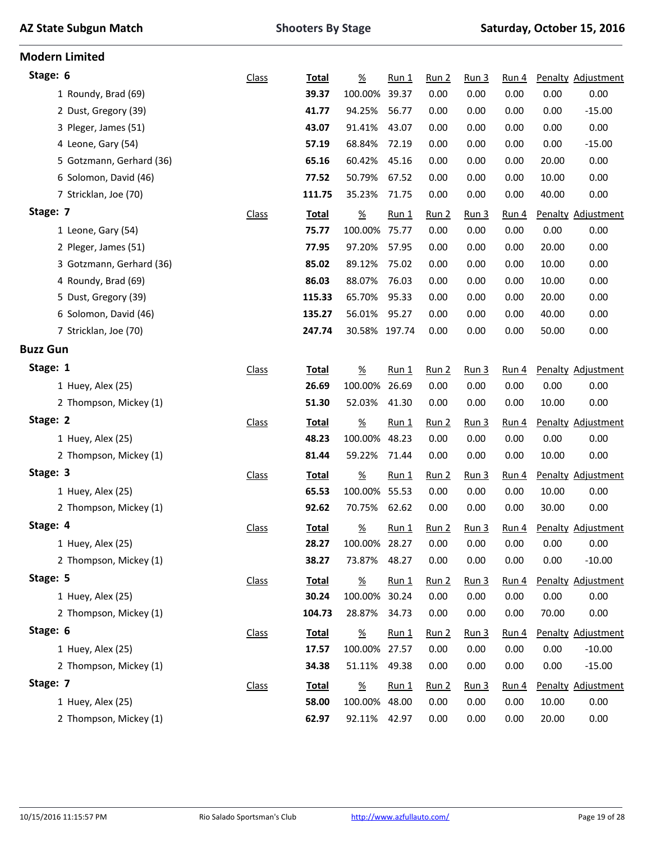|  |  |  | <b>AZ State Subgun Match</b> |
|--|--|--|------------------------------|
|--|--|--|------------------------------|

| <b>Modern Limited</b>    |              |              |                  |         |                  |                  |       |       |                          |
|--------------------------|--------------|--------------|------------------|---------|------------------|------------------|-------|-------|--------------------------|
| Stage: 6                 | <b>Class</b> | Total        | $\underline{\%}$ | $Run_1$ | <u>Run 2</u>     | Run 3            | Run 4 |       | Penalty Adjustment       |
| 1 Roundy, Brad (69)      |              | 39.37        | 100.00%          | 39.37   | 0.00             | 0.00             | 0.00  | 0.00  | 0.00                     |
| 2 Dust, Gregory (39)     |              | 41.77        | 94.25%           | 56.77   | 0.00             | 0.00             | 0.00  | 0.00  | $-15.00$                 |
| 3 Pleger, James (51)     |              | 43.07        | 91.41%           | 43.07   | 0.00             | 0.00             | 0.00  | 0.00  | 0.00                     |
| 4 Leone, Gary (54)       |              | 57.19        | 68.84%           | 72.19   | 0.00             | 0.00             | 0.00  | 0.00  | $-15.00$                 |
| 5 Gotzmann, Gerhard (36) |              | 65.16        | 60.42%           | 45.16   | 0.00             | 0.00             | 0.00  | 20.00 | 0.00                     |
| 6 Solomon, David (46)    |              | 77.52        | 50.79%           | 67.52   | 0.00             | 0.00             | 0.00  | 10.00 | 0.00                     |
| 7 Stricklan, Joe (70)    |              | 111.75       | 35.23%           | 71.75   | 0.00             | 0.00             | 0.00  | 40.00 | 0.00                     |
| Stage: 7                 | Class        | <b>Total</b> | $\underline{\%}$ | $Run_1$ | Run <sub>2</sub> | Run <sub>3</sub> | Run 4 |       | Penalty Adjustment       |
| 1 Leone, Gary (54)       |              | 75.77        | 100.00% 75.77    |         | 0.00             | 0.00             | 0.00  | 0.00  | 0.00                     |
| 2 Pleger, James (51)     |              | 77.95        | 97.20%           | 57.95   | 0.00             | 0.00             | 0.00  | 20.00 | 0.00                     |
| 3 Gotzmann, Gerhard (36) |              | 85.02        | 89.12%           | 75.02   | 0.00             | 0.00             | 0.00  | 10.00 | 0.00                     |
| 4 Roundy, Brad (69)      |              | 86.03        | 88.07%           | 76.03   | 0.00             | 0.00             | 0.00  | 10.00 | 0.00                     |
| 5 Dust, Gregory (39)     |              | 115.33       | 65.70%           | 95.33   | 0.00             | 0.00             | 0.00  | 20.00 | 0.00                     |
| 6 Solomon, David (46)    |              | 135.27       | 56.01%           | 95.27   | 0.00             | 0.00             | 0.00  | 40.00 | 0.00                     |
| 7 Stricklan, Joe (70)    |              | 247.74       | 30.58% 197.74    |         | 0.00             | 0.00             | 0.00  | 50.00 | 0.00                     |
| <b>Buzz Gun</b>          |              |              |                  |         |                  |                  |       |       |                          |
| Stage: 1                 | <b>Class</b> | <b>Total</b> | $\underline{\%}$ | $Run_1$ | Run 2            | Run <sub>3</sub> | Run 4 |       | Penalty Adjustment       |
| 1 Huey, Alex (25)        |              | 26.69        | 100.00%          | 26.69   | 0.00             | 0.00             | 0.00  | 0.00  | 0.00                     |
| 2 Thompson, Mickey (1)   |              | 51.30        | 52.03%           | 41.30   | 0.00             | 0.00             | 0.00  | 10.00 | 0.00                     |
| Stage: 2                 | <b>Class</b> | <b>Total</b> | $\underline{\%}$ | $Run_1$ | Run 2            | Run <sub>3</sub> | Run 4 |       | Penalty Adjustment       |
| 1 Huey, Alex (25)        |              | 48.23        | 100.00%          | 48.23   | 0.00             | 0.00             | 0.00  | 0.00  | 0.00                     |
| 2 Thompson, Mickey (1)   |              | 81.44        | 59.22%           | 71.44   | 0.00             | 0.00             | 0.00  | 10.00 | 0.00                     |
| Stage: 3                 | <b>Class</b> | <b>Total</b> | $\underline{\%}$ | $Run_1$ | Run 2            | Run <sub>3</sub> | Run 4 |       | Penalty Adjustment       |
| 1 Huey, Alex (25)        |              | 65.53        | 100.00%          | 55.53   | 0.00             | 0.00             | 0.00  | 10.00 | 0.00                     |
| 2 Thompson, Mickey (1)   |              | 92.62        | 70.75%           | 62.62   | 0.00             | 0.00             | 0.00  | 30.00 | 0.00                     |
| Stage: 4                 | <b>Class</b> | <b>Total</b> | $\underline{\%}$ | $Run_1$ | Run <sub>2</sub> | Run <sub>3</sub> |       |       | Run 4 Penalty Adjustment |
| 1 Huey, Alex (25)        |              | 28.27        | 100.00% 28.27    |         | 0.00             | 0.00             | 0.00  | 0.00  | 0.00                     |
| 2 Thompson, Mickey (1)   |              | 38.27        | 73.87%           | 48.27   | 0.00             | 0.00             | 0.00  | 0.00  | $-10.00$                 |
| Stage: 5                 | <b>Class</b> | <b>Total</b> | $\underline{\%}$ | $Run_1$ | Run 2            | Run <sub>3</sub> | Run 4 |       | Penalty Adjustment       |
| 1 Huey, Alex (25)        |              | 30.24        | 100.00% 30.24    |         | 0.00             | 0.00             | 0.00  | 0.00  | 0.00                     |
| 2 Thompson, Mickey (1)   |              | 104.73       | 28.87%           | 34.73   | 0.00             | 0.00             | 0.00  | 70.00 | 0.00                     |
| Stage: 6                 | <b>Class</b> | <b>Total</b> | $\underline{\%}$ | $Run_1$ | Run <sub>2</sub> | Run <sub>3</sub> | Run 4 |       | Penalty Adjustment       |
| 1 Huey, Alex (25)        |              | 17.57        | 100.00%          | 27.57   | 0.00             | 0.00             | 0.00  | 0.00  | $-10.00$                 |
| 2 Thompson, Mickey (1)   |              | 34.38        | 51.11%           | 49.38   | 0.00             | 0.00             | 0.00  | 0.00  | $-15.00$                 |
| Stage: 7                 | <b>Class</b> | <b>Total</b> | $\frac{\%}{\%}$  | $Run_1$ | Run 2            | Run <sub>3</sub> | Run 4 |       | Penalty Adjustment       |
| 1 Huey, Alex (25)        |              | 58.00        | 100.00%          | 48.00   | 0.00             | 0.00             | 0.00  | 10.00 | 0.00                     |
| 2 Thompson, Mickey (1)   |              | 62.97        | 92.11%           | 42.97   | 0.00             | 0.00             | 0.00  | 20.00 | 0.00                     |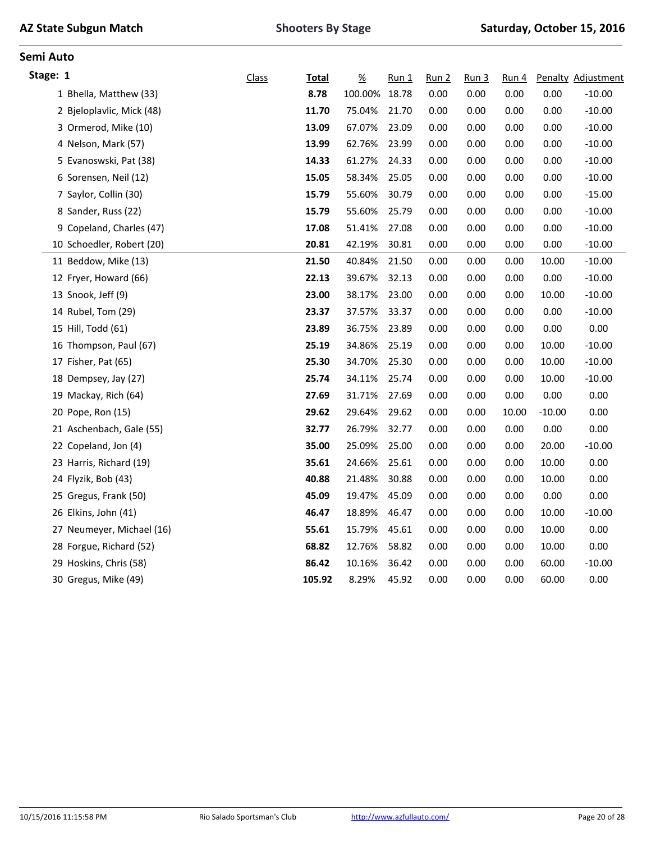| Stage: 1                  | <b>Class</b> | Total  | $\frac{\%}{\%}$ | Run 1 | <u>Run 2</u> | Run <sub>3</sub> | Run 4 |          | Penalty Adjustment |
|---------------------------|--------------|--------|-----------------|-------|--------------|------------------|-------|----------|--------------------|
| 1 Bhella, Matthew (33)    |              | 8.78   | 100.00% 18.78   |       | 0.00         | 0.00             | 0.00  | 0.00     | $-10.00$           |
| 2 Bjeloplavlic, Mick (48) |              | 11.70  | 75.04%          | 21.70 | 0.00         | 0.00             | 0.00  | 0.00     | $-10.00$           |
| 3 Ormerod, Mike (10)      |              | 13.09  | 67.07%          | 23.09 | 0.00         | 0.00             | 0.00  | 0.00     | $-10.00$           |
| 4 Nelson, Mark (57)       |              | 13.99  | 62.76%          | 23.99 | 0.00         | 0.00             | 0.00  | 0.00     | $-10.00$           |
| 5 Evanoswski, Pat (38)    |              | 14.33  | 61.27%          | 24.33 | 0.00         | 0.00             | 0.00  | 0.00     | $-10.00$           |
| 6 Sorensen, Neil (12)     |              | 15.05  | 58.34%          | 25.05 | 0.00         | 0.00             | 0.00  | 0.00     | $-10.00$           |
| 7 Saylor, Collin (30)     |              | 15.79  | 55.60%          | 30.79 | 0.00         | 0.00             | 0.00  | 0.00     | $-15.00$           |
| 8 Sander, Russ (22)       |              | 15.79  | 55.60%          | 25.79 | 0.00         | 0.00             | 0.00  | 0.00     | $-10.00$           |
| 9 Copeland, Charles (47)  |              | 17.08  | 51.41%          | 27.08 | 0.00         | 0.00             | 0.00  | 0.00     | $-10.00$           |
| 10 Schoedler, Robert (20) |              | 20.81  | 42.19%          | 30.81 | 0.00         | 0.00             | 0.00  | 0.00     | $-10.00$           |
| 11 Beddow, Mike (13)      |              | 21.50  | 40.84%          | 21.50 | 0.00         | 0.00             | 0.00  | 10.00    | $-10.00$           |
| 12 Fryer, Howard (66)     |              | 22.13  | 39.67%          | 32.13 | 0.00         | 0.00             | 0.00  | 0.00     | $-10.00$           |
| 13 Snook, Jeff (9)        |              | 23.00  | 38.17%          | 23.00 | 0.00         | 0.00             | 0.00  | 10.00    | $-10.00$           |
| 14 Rubel, Tom (29)        |              | 23.37  | 37.57%          | 33.37 | 0.00         | 0.00             | 0.00  | 0.00     | $-10.00$           |
| 15 Hill, Todd (61)        |              | 23.89  | 36.75%          | 23.89 | 0.00         | 0.00             | 0.00  | 0.00     | 0.00               |
| 16 Thompson, Paul (67)    |              | 25.19  | 34.86%          | 25.19 | 0.00         | 0.00             | 0.00  | 10.00    | $-10.00$           |
| 17 Fisher, Pat (65)       |              | 25.30  | 34.70%          | 25.30 | 0.00         | 0.00             | 0.00  | 10.00    | $-10.00$           |
| 18 Dempsey, Jay (27)      |              | 25.74  | 34.11%          | 25.74 | 0.00         | 0.00             | 0.00  | 10.00    | $-10.00$           |
| 19 Mackay, Rich (64)      |              | 27.69  | 31.71%          | 27.69 | 0.00         | 0.00             | 0.00  | 0.00     | 0.00               |
| 20 Pope, Ron (15)         |              | 29.62  | 29.64%          | 29.62 | 0.00         | 0.00             | 10.00 | $-10.00$ | 0.00               |
| 21 Aschenbach, Gale (55)  |              | 32.77  | 26.79%          | 32.77 | 0.00         | 0.00             | 0.00  | 0.00     | 0.00               |
| 22 Copeland, Jon (4)      |              | 35.00  | 25.09%          | 25.00 | 0.00         | 0.00             | 0.00  | 20.00    | $-10.00$           |
| 23 Harris, Richard (19)   |              | 35.61  | 24.66%          | 25.61 | 0.00         | 0.00             | 0.00  | 10.00    | 0.00               |
| 24 Flyzik, Bob (43)       |              | 40.88  | 21.48%          | 30.88 | 0.00         | 0.00             | 0.00  | 10.00    | 0.00               |
| 25 Gregus, Frank (50)     |              | 45.09  | 19.47%          | 45.09 | 0.00         | 0.00             | 0.00  | 0.00     | 0.00               |
| 26 Elkins, John (41)      |              | 46.47  | 18.89%          | 46.47 | 0.00         | 0.00             | 0.00  | 10.00    | $-10.00$           |
| 27 Neumeyer, Michael (16) |              | 55.61  | 15.79%          | 45.61 | 0.00         | 0.00             | 0.00  | 10.00    | 0.00               |
| 28 Forgue, Richard (52)   |              | 68.82  | 12.76%          | 58.82 | 0.00         | 0.00             | 0.00  | 10.00    | 0.00               |
| 29 Hoskins, Chris (58)    |              | 86.42  | 10.16%          | 36.42 | 0.00         | 0.00             | 0.00  | 60.00    | $-10.00$           |
| 30 Gregus, Mike (49)      |              | 105.92 | 8.29%           | 45.92 | 0.00         | 0.00             | 0.00  | 60.00    | 0.00               |
|                           |              |        |                 |       |              |                  |       |          |                    |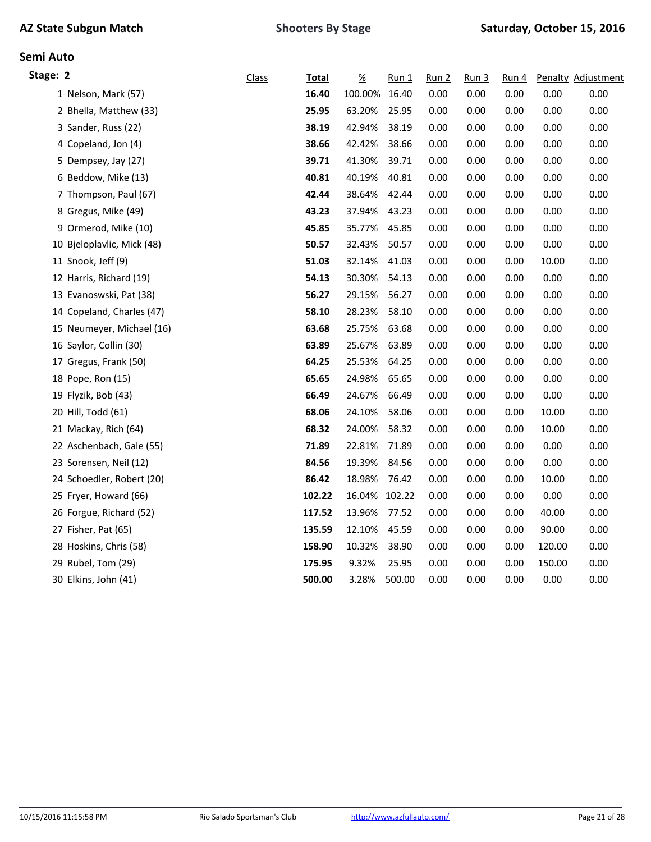| Stage: 2                   | Class | Total  | $\underline{\%}$ | Run 1  | Run 2 | Run <sub>3</sub> | Run <sub>4</sub> |        | Penalty Adjustment |
|----------------------------|-------|--------|------------------|--------|-------|------------------|------------------|--------|--------------------|
| 1 Nelson, Mark (57)        |       | 16.40  | 100.00%          | 16.40  | 0.00  | 0.00             | 0.00             | 0.00   | 0.00               |
| 2 Bhella, Matthew (33)     |       | 25.95  | 63.20%           | 25.95  | 0.00  | 0.00             | 0.00             | 0.00   | 0.00               |
| 3 Sander, Russ (22)        |       | 38.19  | 42.94%           | 38.19  | 0.00  | 0.00             | 0.00             | 0.00   | 0.00               |
| 4 Copeland, Jon (4)        |       | 38.66  | 42.42%           | 38.66  | 0.00  | 0.00             | 0.00             | 0.00   | 0.00               |
| 5 Dempsey, Jay (27)        |       | 39.71  | 41.30%           | 39.71  | 0.00  | 0.00             | 0.00             | 0.00   | 0.00               |
| 6 Beddow, Mike (13)        |       | 40.81  | 40.19%           | 40.81  | 0.00  | 0.00             | 0.00             | 0.00   | 0.00               |
| 7 Thompson, Paul (67)      |       | 42.44  | 38.64%           | 42.44  | 0.00  | 0.00             | 0.00             | 0.00   | 0.00               |
| 8 Gregus, Mike (49)        |       | 43.23  | 37.94%           | 43.23  | 0.00  | 0.00             | 0.00             | 0.00   | 0.00               |
| 9 Ormerod, Mike (10)       |       | 45.85  | 35.77%           | 45.85  | 0.00  | 0.00             | 0.00             | 0.00   | 0.00               |
| 10 Bjeloplavlic, Mick (48) |       | 50.57  | 32.43%           | 50.57  | 0.00  | 0.00             | 0.00             | 0.00   | 0.00               |
| 11 Snook, Jeff (9)         |       | 51.03  | 32.14%           | 41.03  | 0.00  | 0.00             | 0.00             | 10.00  | 0.00               |
| 12 Harris, Richard (19)    |       | 54.13  | 30.30%           | 54.13  | 0.00  | 0.00             | 0.00             | 0.00   | 0.00               |
| 13 Evanoswski, Pat (38)    |       | 56.27  | 29.15%           | 56.27  | 0.00  | 0.00             | 0.00             | 0.00   | 0.00               |
| 14 Copeland, Charles (47)  |       | 58.10  | 28.23%           | 58.10  | 0.00  | 0.00             | 0.00             | 0.00   | 0.00               |
| 15 Neumeyer, Michael (16)  |       | 63.68  | 25.75%           | 63.68  | 0.00  | 0.00             | 0.00             | 0.00   | 0.00               |
| 16 Saylor, Collin (30)     |       | 63.89  | 25.67%           | 63.89  | 0.00  | 0.00             | 0.00             | 0.00   | 0.00               |
| 17 Gregus, Frank (50)      |       | 64.25  | 25.53%           | 64.25  | 0.00  | 0.00             | 0.00             | 0.00   | 0.00               |
| 18 Pope, Ron (15)          |       | 65.65  | 24.98%           | 65.65  | 0.00  | 0.00             | 0.00             | 0.00   | 0.00               |
| 19 Flyzik, Bob (43)        |       | 66.49  | 24.67%           | 66.49  | 0.00  | 0.00             | 0.00             | 0.00   | 0.00               |
| 20 Hill, Todd (61)         |       | 68.06  | 24.10%           | 58.06  | 0.00  | 0.00             | 0.00             | 10.00  | 0.00               |
| 21 Mackay, Rich (64)       |       | 68.32  | 24.00%           | 58.32  | 0.00  | 0.00             | 0.00             | 10.00  | 0.00               |
| 22 Aschenbach, Gale (55)   |       | 71.89  | 22.81%           | 71.89  | 0.00  | 0.00             | 0.00             | 0.00   | 0.00               |
| 23 Sorensen, Neil (12)     |       | 84.56  | 19.39%           | 84.56  | 0.00  | 0.00             | 0.00             | 0.00   | 0.00               |
| 24 Schoedler, Robert (20)  |       | 86.42  | 18.98%           | 76.42  | 0.00  | 0.00             | 0.00             | 10.00  | 0.00               |
| 25 Fryer, Howard (66)      |       | 102.22 | 16.04% 102.22    |        | 0.00  | 0.00             | 0.00             | 0.00   | 0.00               |
| 26 Forgue, Richard (52)    |       | 117.52 | 13.96%           | 77.52  | 0.00  | 0.00             | 0.00             | 40.00  | 0.00               |
| 27 Fisher, Pat (65)        |       | 135.59 | 12.10%           | 45.59  | 0.00  | 0.00             | 0.00             | 90.00  | 0.00               |
| 28 Hoskins, Chris (58)     |       | 158.90 | 10.32%           | 38.90  | 0.00  | 0.00             | 0.00             | 120.00 | 0.00               |
| 29 Rubel, Tom (29)         |       | 175.95 | 9.32%            | 25.95  | 0.00  | 0.00             | 0.00             | 150.00 | 0.00               |
| 30 Elkins, John (41)       |       | 500.00 | 3.28%            | 500.00 | 0.00  | 0.00             | 0.00             | 0.00   | 0.00               |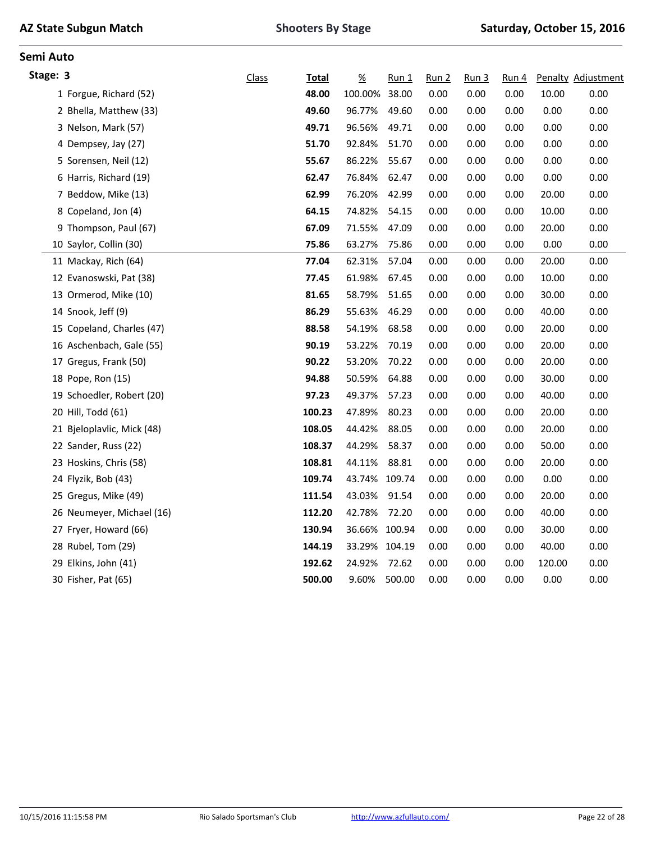| Stage: 3                   | Class | <b>Total</b> | $\frac{9}{6}$ | $Run_1$ | <u>Run 2</u> | Run <sub>3</sub> | Run 4 |        | Penalty Adjustment |
|----------------------------|-------|--------------|---------------|---------|--------------|------------------|-------|--------|--------------------|
| 1 Forgue, Richard (52)     |       | 48.00        | 100.00%       | 38.00   | 0.00         | 0.00             | 0.00  | 10.00  | 0.00               |
| 2 Bhella, Matthew (33)     |       | 49.60        | 96.77%        | 49.60   | 0.00         | 0.00             | 0.00  | 0.00   | 0.00               |
| 3 Nelson, Mark (57)        |       | 49.71        | 96.56%        | 49.71   | 0.00         | 0.00             | 0.00  | 0.00   | 0.00               |
| 4 Dempsey, Jay (27)        |       | 51.70        | 92.84%        | 51.70   | 0.00         | 0.00             | 0.00  | 0.00   | 0.00               |
| 5 Sorensen, Neil (12)      |       | 55.67        | 86.22%        | 55.67   | 0.00         | 0.00             | 0.00  | 0.00   | 0.00               |
| 6 Harris, Richard (19)     |       | 62.47        | 76.84%        | 62.47   | 0.00         | 0.00             | 0.00  | 0.00   | 0.00               |
| 7 Beddow, Mike (13)        |       | 62.99        | 76.20%        | 42.99   | 0.00         | 0.00             | 0.00  | 20.00  | 0.00               |
| 8 Copeland, Jon (4)        |       | 64.15        | 74.82%        | 54.15   | 0.00         | 0.00             | 0.00  | 10.00  | 0.00               |
| 9 Thompson, Paul (67)      |       | 67.09        | 71.55%        | 47.09   | 0.00         | 0.00             | 0.00  | 20.00  | 0.00               |
| 10 Saylor, Collin (30)     |       | 75.86        | 63.27%        | 75.86   | 0.00         | 0.00             | 0.00  | 0.00   | 0.00               |
| 11 Mackay, Rich (64)       |       | 77.04        | 62.31%        | 57.04   | 0.00         | 0.00             | 0.00  | 20.00  | 0.00               |
| 12 Evanoswski, Pat (38)    |       | 77.45        | 61.98%        | 67.45   | 0.00         | 0.00             | 0.00  | 10.00  | 0.00               |
| 13 Ormerod, Mike (10)      |       | 81.65        | 58.79%        | 51.65   | 0.00         | 0.00             | 0.00  | 30.00  | 0.00               |
| 14 Snook, Jeff (9)         |       | 86.29        | 55.63%        | 46.29   | 0.00         | 0.00             | 0.00  | 40.00  | 0.00               |
| 15 Copeland, Charles (47)  |       | 88.58        | 54.19%        | 68.58   | 0.00         | 0.00             | 0.00  | 20.00  | 0.00               |
| 16 Aschenbach, Gale (55)   |       | 90.19        | 53.22%        | 70.19   | 0.00         | 0.00             | 0.00  | 20.00  | 0.00               |
| 17 Gregus, Frank (50)      |       | 90.22        | 53.20%        | 70.22   | 0.00         | 0.00             | 0.00  | 20.00  | 0.00               |
| 18 Pope, Ron (15)          |       | 94.88        | 50.59%        | 64.88   | 0.00         | 0.00             | 0.00  | 30.00  | 0.00               |
| 19 Schoedler, Robert (20)  |       | 97.23        | 49.37%        | 57.23   | 0.00         | 0.00             | 0.00  | 40.00  | 0.00               |
| 20 Hill, Todd (61)         |       | 100.23       | 47.89%        | 80.23   | 0.00         | 0.00             | 0.00  | 20.00  | 0.00               |
| 21 Bjeloplavlic, Mick (48) |       | 108.05       | 44.42%        | 88.05   | 0.00         | 0.00             | 0.00  | 20.00  | 0.00               |
| 22 Sander, Russ (22)       |       | 108.37       | 44.29%        | 58.37   | 0.00         | 0.00             | 0.00  | 50.00  | 0.00               |
| 23 Hoskins, Chris (58)     |       | 108.81       | 44.11%        | 88.81   | 0.00         | 0.00             | 0.00  | 20.00  | 0.00               |
| 24 Flyzik, Bob (43)        |       | 109.74       | 43.74%        | 109.74  | 0.00         | 0.00             | 0.00  | 0.00   | 0.00               |
| 25 Gregus, Mike (49)       |       | 111.54       | 43.03%        | 91.54   | 0.00         | 0.00             | 0.00  | 20.00  | 0.00               |
| 26 Neumeyer, Michael (16)  |       | 112.20       | 42.78%        | 72.20   | 0.00         | 0.00             | 0.00  | 40.00  | 0.00               |
| 27 Fryer, Howard (66)      |       | 130.94       | 36.66% 100.94 |         | 0.00         | 0.00             | 0.00  | 30.00  | 0.00               |
| 28 Rubel, Tom (29)         |       | 144.19       | 33.29% 104.19 |         | 0.00         | 0.00             | 0.00  | 40.00  | 0.00               |
| 29 Elkins, John (41)       |       | 192.62       | 24.92%        | 72.62   | 0.00         | 0.00             | 0.00  | 120.00 | 0.00               |
| 30 Fisher, Pat (65)        |       | 500.00       | 9.60%         | 500.00  | 0.00         | 0.00             | 0.00  | 0.00   | 0.00               |
|                            |       |              |               |         |              |                  |       |        |                    |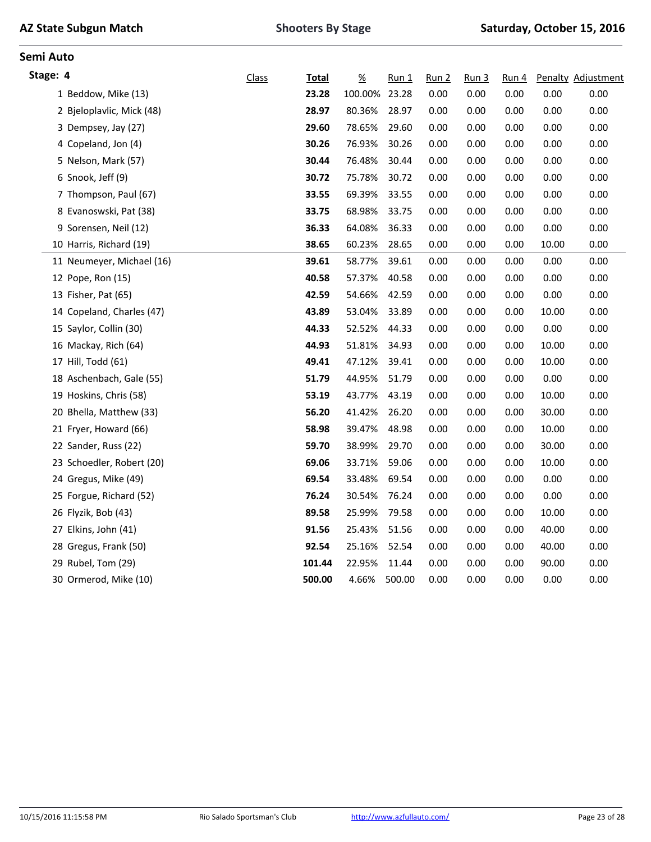|  |  | <b>AZ State Subgun Match</b> |  |
|--|--|------------------------------|--|
|--|--|------------------------------|--|

| Stage: 4                  | <b>Class</b> | Total  | $\underline{\%}$ | $Run_1$ | Run <sub>2</sub> | Run <sub>3</sub> | Run 4 |       | Penalty Adjustment |
|---------------------------|--------------|--------|------------------|---------|------------------|------------------|-------|-------|--------------------|
| 1 Beddow, Mike (13)       |              | 23.28  | 100.00%          | 23.28   | 0.00             | 0.00             | 0.00  | 0.00  | 0.00               |
| 2 Bjeloplavlic, Mick (48) |              | 28.97  | 80.36%           | 28.97   | 0.00             | 0.00             | 0.00  | 0.00  | 0.00               |
| 3 Dempsey, Jay (27)       |              | 29.60  | 78.65%           | 29.60   | 0.00             | 0.00             | 0.00  | 0.00  | 0.00               |
| 4 Copeland, Jon (4)       |              | 30.26  | 76.93%           | 30.26   | 0.00             | 0.00             | 0.00  | 0.00  | 0.00               |
| 5 Nelson, Mark (57)       |              | 30.44  | 76.48%           | 30.44   | 0.00             | 0.00             | 0.00  | 0.00  | 0.00               |
| 6 Snook, Jeff (9)         |              | 30.72  | 75.78%           | 30.72   | 0.00             | 0.00             | 0.00  | 0.00  | 0.00               |
| 7 Thompson, Paul (67)     |              | 33.55  | 69.39%           | 33.55   | 0.00             | 0.00             | 0.00  | 0.00  | 0.00               |
| 8 Evanoswski, Pat (38)    |              | 33.75  | 68.98%           | 33.75   | 0.00             | 0.00             | 0.00  | 0.00  | 0.00               |
| 9 Sorensen, Neil (12)     |              | 36.33  | 64.08%           | 36.33   | 0.00             | 0.00             | 0.00  | 0.00  | 0.00               |
| 10 Harris, Richard (19)   |              | 38.65  | 60.23%           | 28.65   | 0.00             | 0.00             | 0.00  | 10.00 | 0.00               |
| 11 Neumeyer, Michael (16) |              | 39.61  | 58.77%           | 39.61   | 0.00             | 0.00             | 0.00  | 0.00  | 0.00               |
| 12 Pope, Ron (15)         |              | 40.58  | 57.37%           | 40.58   | 0.00             | 0.00             | 0.00  | 0.00  | 0.00               |
| 13 Fisher, Pat (65)       |              | 42.59  | 54.66%           | 42.59   | 0.00             | 0.00             | 0.00  | 0.00  | 0.00               |
| 14 Copeland, Charles (47) |              | 43.89  | 53.04%           | 33.89   | 0.00             | 0.00             | 0.00  | 10.00 | 0.00               |
| 15 Saylor, Collin (30)    |              | 44.33  | 52.52%           | 44.33   | 0.00             | 0.00             | 0.00  | 0.00  | 0.00               |
| 16 Mackay, Rich (64)      |              | 44.93  | 51.81%           | 34.93   | 0.00             | 0.00             | 0.00  | 10.00 | 0.00               |
| 17 Hill, Todd (61)        |              | 49.41  | 47.12%           | 39.41   | 0.00             | 0.00             | 0.00  | 10.00 | 0.00               |
| 18 Aschenbach, Gale (55)  |              | 51.79  | 44.95%           | 51.79   | 0.00             | 0.00             | 0.00  | 0.00  | 0.00               |
| 19 Hoskins, Chris (58)    |              | 53.19  | 43.77%           | 43.19   | 0.00             | 0.00             | 0.00  | 10.00 | 0.00               |
| 20 Bhella, Matthew (33)   |              | 56.20  | 41.42%           | 26.20   | 0.00             | 0.00             | 0.00  | 30.00 | 0.00               |
| 21 Fryer, Howard (66)     |              | 58.98  | 39.47%           | 48.98   | 0.00             | 0.00             | 0.00  | 10.00 | 0.00               |
| 22 Sander, Russ (22)      |              | 59.70  | 38.99%           | 29.70   | 0.00             | 0.00             | 0.00  | 30.00 | 0.00               |
| 23 Schoedler, Robert (20) |              | 69.06  | 33.71%           | 59.06   | 0.00             | 0.00             | 0.00  | 10.00 | 0.00               |
| 24 Gregus, Mike (49)      |              | 69.54  | 33.48%           | 69.54   | 0.00             | 0.00             | 0.00  | 0.00  | 0.00               |
| 25 Forgue, Richard (52)   |              | 76.24  | 30.54%           | 76.24   | 0.00             | 0.00             | 0.00  | 0.00  | 0.00               |
| 26 Flyzik, Bob (43)       |              | 89.58  | 25.99%           | 79.58   | 0.00             | 0.00             | 0.00  | 10.00 | 0.00               |
| 27 Elkins, John (41)      |              | 91.56  | 25.43%           | 51.56   | 0.00             | 0.00             | 0.00  | 40.00 | 0.00               |
| 28 Gregus, Frank (50)     |              | 92.54  | 25.16%           | 52.54   | 0.00             | 0.00             | 0.00  | 40.00 | 0.00               |
| 29 Rubel, Tom (29)        |              | 101.44 | 22.95%           | 11.44   | 0.00             | 0.00             | 0.00  | 90.00 | 0.00               |
| 30 Ormerod, Mike (10)     |              | 500.00 | 4.66%            | 500.00  | 0.00             | 0.00             | 0.00  | 0.00  | 0.00               |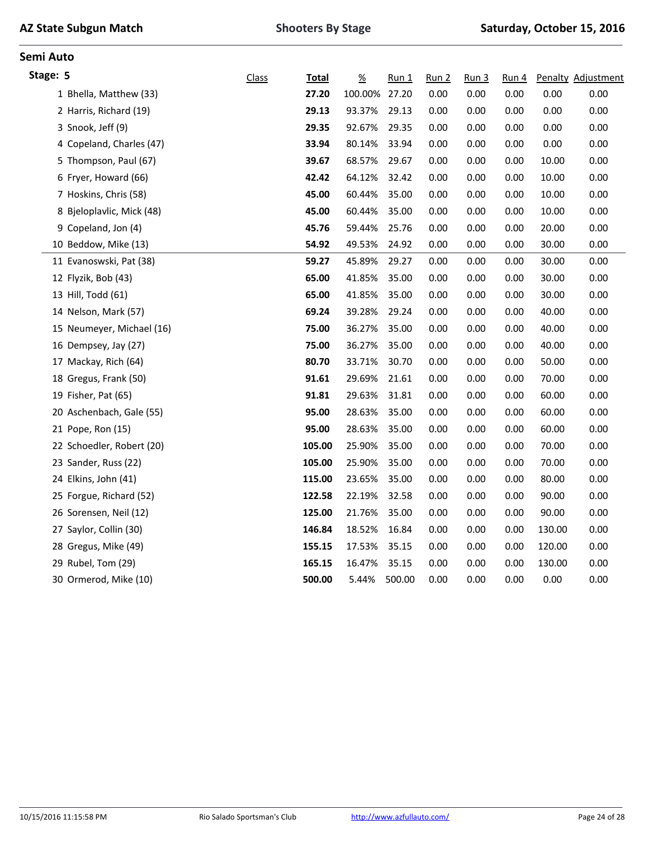|  |  | <b>AZ State Subgun Match</b> |  |
|--|--|------------------------------|--|
|--|--|------------------------------|--|

| Stage: 5 |                           | <b>Class</b> | <b>Total</b> | $\frac{\%}{\sqrt{2}}$ | $Run_1$ | Run 2 | Run <sub>3</sub> | Run 4 |        | Penalty Adjustment |
|----------|---------------------------|--------------|--------------|-----------------------|---------|-------|------------------|-------|--------|--------------------|
|          | 1 Bhella, Matthew (33)    |              | 27.20        | 100.00% 27.20         |         | 0.00  | 0.00             | 0.00  | 0.00   | 0.00               |
|          | 2 Harris, Richard (19)    |              | 29.13        | 93.37%                | 29.13   | 0.00  | 0.00             | 0.00  | 0.00   | 0.00               |
|          | 3 Snook, Jeff (9)         |              | 29.35        | 92.67%                | 29.35   | 0.00  | 0.00             | 0.00  | 0.00   | 0.00               |
|          | 4 Copeland, Charles (47)  |              | 33.94        | 80.14%                | 33.94   | 0.00  | 0.00             | 0.00  | 0.00   | 0.00               |
|          | 5 Thompson, Paul (67)     |              | 39.67        | 68.57%                | 29.67   | 0.00  | 0.00             | 0.00  | 10.00  | 0.00               |
|          | 6 Fryer, Howard (66)      |              | 42.42        | 64.12%                | 32.42   | 0.00  | 0.00             | 0.00  | 10.00  | 0.00               |
|          | 7 Hoskins, Chris (58)     |              | 45.00        | 60.44%                | 35.00   | 0.00  | 0.00             | 0.00  | 10.00  | 0.00               |
|          | 8 Bjeloplavlic, Mick (48) |              | 45.00        | 60.44%                | 35.00   | 0.00  | 0.00             | 0.00  | 10.00  | 0.00               |
|          | 9 Copeland, Jon (4)       |              | 45.76        | 59.44%                | 25.76   | 0.00  | 0.00             | 0.00  | 20.00  | 0.00               |
|          | 10 Beddow, Mike (13)      |              | 54.92        | 49.53%                | 24.92   | 0.00  | 0.00             | 0.00  | 30.00  | 0.00               |
|          | 11 Evanoswski, Pat (38)   |              | 59.27        | 45.89%                | 29.27   | 0.00  | 0.00             | 0.00  | 30.00  | 0.00               |
|          | 12 Flyzik, Bob (43)       |              | 65.00        | 41.85%                | 35.00   | 0.00  | 0.00             | 0.00  | 30.00  | 0.00               |
|          | 13 Hill, Todd (61)        |              | 65.00        | 41.85%                | 35.00   | 0.00  | 0.00             | 0.00  | 30.00  | 0.00               |
|          | 14 Nelson, Mark (57)      |              | 69.24        | 39.28%                | 29.24   | 0.00  | 0.00             | 0.00  | 40.00  | 0.00               |
|          | 15 Neumeyer, Michael (16) |              | 75.00        | 36.27%                | 35.00   | 0.00  | 0.00             | 0.00  | 40.00  | 0.00               |
|          | 16 Dempsey, Jay (27)      |              | 75.00        | 36.27%                | 35.00   | 0.00  | 0.00             | 0.00  | 40.00  | 0.00               |
|          | 17 Mackay, Rich (64)      |              | 80.70        | 33.71%                | 30.70   | 0.00  | 0.00             | 0.00  | 50.00  | 0.00               |
|          | 18 Gregus, Frank (50)     |              | 91.61        | 29.69%                | 21.61   | 0.00  | 0.00             | 0.00  | 70.00  | 0.00               |
|          | 19 Fisher, Pat (65)       |              | 91.81        | 29.63%                | 31.81   | 0.00  | 0.00             | 0.00  | 60.00  | 0.00               |
|          | 20 Aschenbach, Gale (55)  |              | 95.00        | 28.63%                | 35.00   | 0.00  | 0.00             | 0.00  | 60.00  | 0.00               |
|          | 21 Pope, Ron (15)         |              | 95.00        | 28.63%                | 35.00   | 0.00  | 0.00             | 0.00  | 60.00  | 0.00               |
|          | 22 Schoedler, Robert (20) |              | 105.00       | 25.90%                | 35.00   | 0.00  | 0.00             | 0.00  | 70.00  | 0.00               |
|          | 23 Sander, Russ (22)      |              | 105.00       | 25.90%                | 35.00   | 0.00  | 0.00             | 0.00  | 70.00  | 0.00               |
|          | 24 Elkins, John (41)      |              | 115.00       | 23.65%                | 35.00   | 0.00  | 0.00             | 0.00  | 80.00  | 0.00               |
|          | 25 Forgue, Richard (52)   |              | 122.58       | 22.19%                | 32.58   | 0.00  | 0.00             | 0.00  | 90.00  | 0.00               |
|          | 26 Sorensen, Neil (12)    |              | 125.00       | 21.76%                | 35.00   | 0.00  | 0.00             | 0.00  | 90.00  | 0.00               |
|          | 27 Saylor, Collin (30)    |              | 146.84       | 18.52%                | 16.84   | 0.00  | 0.00             | 0.00  | 130.00 | 0.00               |
|          | 28 Gregus, Mike (49)      |              | 155.15       | 17.53%                | 35.15   | 0.00  | 0.00             | 0.00  | 120.00 | 0.00               |
|          | 29 Rubel, Tom (29)        |              | 165.15       | 16.47%                | 35.15   | 0.00  | 0.00             | 0.00  | 130.00 | 0.00               |
|          | 30 Ormerod, Mike (10)     |              | 500.00       | 5.44%                 | 500.00  | 0.00  | 0.00             | 0.00  | 0.00   | 0.00               |
|          |                           |              |              |                       |         |       |                  |       |        |                    |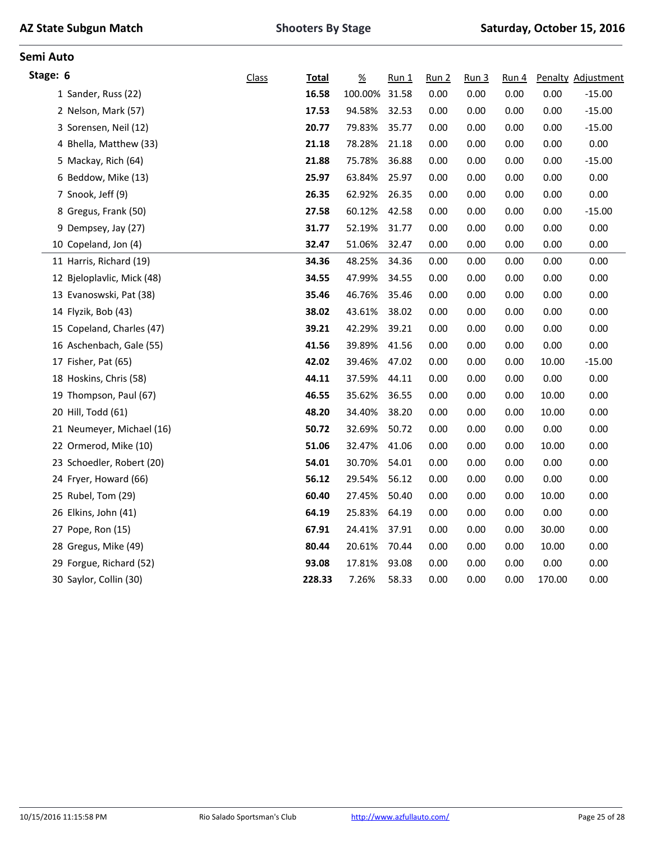|  |  | <b>AZ State Subgun Match</b> |  |
|--|--|------------------------------|--|
|--|--|------------------------------|--|

| Stage: 6 |                            | Class | <b>Total</b> | $\underline{\%}$ | $Run_1$ | Run 2 | Run <sub>3</sub> | Run <sub>4</sub> |        | Penalty Adjustment |
|----------|----------------------------|-------|--------------|------------------|---------|-------|------------------|------------------|--------|--------------------|
|          | 1 Sander, Russ (22)        |       | 16.58        | 100.00%          | 31.58   | 0.00  | 0.00             | 0.00             | 0.00   | $-15.00$           |
|          | 2 Nelson, Mark (57)        |       | 17.53        | 94.58%           | 32.53   | 0.00  | 0.00             | 0.00             | 0.00   | $-15.00$           |
|          | 3 Sorensen, Neil (12)      |       | 20.77        | 79.83%           | 35.77   | 0.00  | 0.00             | 0.00             | 0.00   | $-15.00$           |
|          | 4 Bhella, Matthew (33)     |       | 21.18        | 78.28%           | 21.18   | 0.00  | 0.00             | 0.00             | 0.00   | 0.00               |
|          | 5 Mackay, Rich (64)        |       | 21.88        | 75.78%           | 36.88   | 0.00  | 0.00             | 0.00             | 0.00   | $-15.00$           |
|          | 6 Beddow, Mike (13)        |       | 25.97        | 63.84%           | 25.97   | 0.00  | 0.00             | 0.00             | 0.00   | 0.00               |
|          | 7 Snook, Jeff (9)          |       | 26.35        | 62.92%           | 26.35   | 0.00  | 0.00             | 0.00             | 0.00   | 0.00               |
|          | 8 Gregus, Frank (50)       |       | 27.58        | 60.12%           | 42.58   | 0.00  | 0.00             | 0.00             | 0.00   | $-15.00$           |
|          | 9 Dempsey, Jay (27)        |       | 31.77        | 52.19%           | 31.77   | 0.00  | 0.00             | 0.00             | 0.00   | 0.00               |
|          | 10 Copeland, Jon (4)       |       | 32.47        | 51.06%           | 32.47   | 0.00  | 0.00             | 0.00             | 0.00   | 0.00               |
|          | 11 Harris, Richard (19)    |       | 34.36        | 48.25%           | 34.36   | 0.00  | 0.00             | 0.00             | 0.00   | 0.00               |
|          | 12 Bjeloplavlic, Mick (48) |       | 34.55        | 47.99%           | 34.55   | 0.00  | 0.00             | 0.00             | 0.00   | 0.00               |
|          | 13 Evanoswski, Pat (38)    |       | 35.46        | 46.76%           | 35.46   | 0.00  | 0.00             | 0.00             | 0.00   | 0.00               |
|          | 14 Flyzik, Bob (43)        |       | 38.02        | 43.61%           | 38.02   | 0.00  | 0.00             | 0.00             | 0.00   | 0.00               |
|          | 15 Copeland, Charles (47)  |       | 39.21        | 42.29%           | 39.21   | 0.00  | 0.00             | 0.00             | 0.00   | 0.00               |
|          | 16 Aschenbach, Gale (55)   |       | 41.56        | 39.89%           | 41.56   | 0.00  | 0.00             | 0.00             | 0.00   | 0.00               |
|          | 17 Fisher, Pat (65)        |       | 42.02        | 39.46%           | 47.02   | 0.00  | 0.00             | 0.00             | 10.00  | $-15.00$           |
|          | 18 Hoskins, Chris (58)     |       | 44.11        | 37.59%           | 44.11   | 0.00  | 0.00             | 0.00             | 0.00   | 0.00               |
|          | 19 Thompson, Paul (67)     |       | 46.55        | 35.62%           | 36.55   | 0.00  | 0.00             | 0.00             | 10.00  | 0.00               |
|          | 20 Hill, Todd (61)         |       | 48.20        | 34.40%           | 38.20   | 0.00  | 0.00             | 0.00             | 10.00  | 0.00               |
|          | 21 Neumeyer, Michael (16)  |       | 50.72        | 32.69%           | 50.72   | 0.00  | 0.00             | 0.00             | 0.00   | 0.00               |
|          | 22 Ormerod, Mike (10)      |       | 51.06        | 32.47%           | 41.06   | 0.00  | 0.00             | 0.00             | 10.00  | 0.00               |
|          | 23 Schoedler, Robert (20)  |       | 54.01        | 30.70%           | 54.01   | 0.00  | 0.00             | 0.00             | 0.00   | 0.00               |
|          | 24 Fryer, Howard (66)      |       | 56.12        | 29.54%           | 56.12   | 0.00  | 0.00             | 0.00             | 0.00   | 0.00               |
|          | 25 Rubel, Tom (29)         |       | 60.40        | 27.45%           | 50.40   | 0.00  | 0.00             | 0.00             | 10.00  | 0.00               |
|          | 26 Elkins, John (41)       |       | 64.19        | 25.83%           | 64.19   | 0.00  | 0.00             | 0.00             | 0.00   | 0.00               |
|          | 27 Pope, Ron (15)          |       | 67.91        | 24.41%           | 37.91   | 0.00  | 0.00             | 0.00             | 30.00  | 0.00               |
|          | 28 Gregus, Mike (49)       |       | 80.44        | 20.61%           | 70.44   | 0.00  | 0.00             | 0.00             | 10.00  | 0.00               |
|          | 29 Forgue, Richard (52)    |       | 93.08        | 17.81%           | 93.08   | 0.00  | 0.00             | 0.00             | 0.00   | 0.00               |
|          | 30 Saylor, Collin (30)     |       | 228.33       | 7.26%            | 58.33   | 0.00  | 0.00             | 0.00             | 170.00 | 0.00               |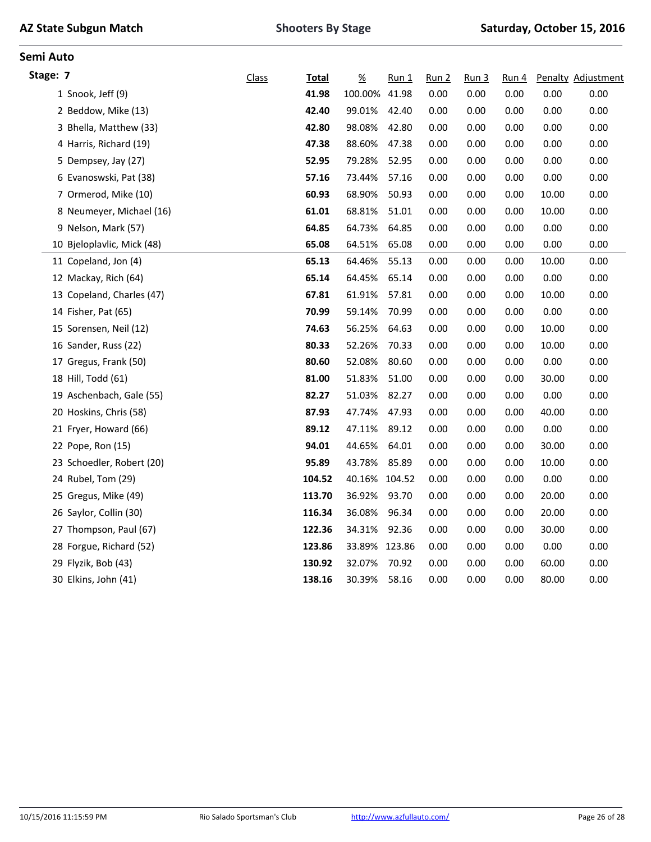| <b>Class</b>                                                                                                                                                                                                                                                                                                                                                                                                                                                                                                                                                                                                                                                                                                                                                                         | <b>Total</b> | $\frac{\%}{\sqrt{2}}$ | $Run_1$ | Run 2                   | Run <sub>3</sub> | Run 4 |       | Penalty Adjustment |
|--------------------------------------------------------------------------------------------------------------------------------------------------------------------------------------------------------------------------------------------------------------------------------------------------------------------------------------------------------------------------------------------------------------------------------------------------------------------------------------------------------------------------------------------------------------------------------------------------------------------------------------------------------------------------------------------------------------------------------------------------------------------------------------|--------------|-----------------------|---------|-------------------------|------------------|-------|-------|--------------------|
|                                                                                                                                                                                                                                                                                                                                                                                                                                                                                                                                                                                                                                                                                                                                                                                      | 41.98        | 100.00%               | 41.98   | 0.00                    | 0.00             | 0.00  | 0.00  | 0.00               |
|                                                                                                                                                                                                                                                                                                                                                                                                                                                                                                                                                                                                                                                                                                                                                                                      | 42.40        | 99.01%                | 42.40   | 0.00                    | 0.00             | 0.00  | 0.00  | 0.00               |
|                                                                                                                                                                                                                                                                                                                                                                                                                                                                                                                                                                                                                                                                                                                                                                                      | 42.80        | 98.08%                | 42.80   | 0.00                    | 0.00             | 0.00  | 0.00  | 0.00               |
|                                                                                                                                                                                                                                                                                                                                                                                                                                                                                                                                                                                                                                                                                                                                                                                      | 47.38        | 88.60%                | 47.38   | 0.00                    | 0.00             | 0.00  | 0.00  | 0.00               |
|                                                                                                                                                                                                                                                                                                                                                                                                                                                                                                                                                                                                                                                                                                                                                                                      | 52.95        | 79.28%                | 52.95   | 0.00                    | 0.00             | 0.00  | 0.00  | 0.00               |
|                                                                                                                                                                                                                                                                                                                                                                                                                                                                                                                                                                                                                                                                                                                                                                                      | 57.16        | 73.44%                | 57.16   | 0.00                    | 0.00             | 0.00  | 0.00  | 0.00               |
|                                                                                                                                                                                                                                                                                                                                                                                                                                                                                                                                                                                                                                                                                                                                                                                      | 60.93        | 68.90%                | 50.93   | 0.00                    | 0.00             | 0.00  | 10.00 | 0.00               |
|                                                                                                                                                                                                                                                                                                                                                                                                                                                                                                                                                                                                                                                                                                                                                                                      | 61.01        | 68.81%                | 51.01   | 0.00                    | 0.00             | 0.00  | 10.00 | 0.00               |
|                                                                                                                                                                                                                                                                                                                                                                                                                                                                                                                                                                                                                                                                                                                                                                                      | 64.85        | 64.73%                | 64.85   | 0.00                    | 0.00             | 0.00  | 0.00  | 0.00               |
|                                                                                                                                                                                                                                                                                                                                                                                                                                                                                                                                                                                                                                                                                                                                                                                      | 65.08        | 64.51%                | 65.08   | 0.00                    | 0.00             | 0.00  | 0.00  | 0.00               |
|                                                                                                                                                                                                                                                                                                                                                                                                                                                                                                                                                                                                                                                                                                                                                                                      | 65.13        | 64.46%                | 55.13   | 0.00                    | 0.00             | 0.00  | 10.00 | 0.00               |
|                                                                                                                                                                                                                                                                                                                                                                                                                                                                                                                                                                                                                                                                                                                                                                                      | 65.14        | 64.45%                | 65.14   | 0.00                    | 0.00             | 0.00  | 0.00  | 0.00               |
|                                                                                                                                                                                                                                                                                                                                                                                                                                                                                                                                                                                                                                                                                                                                                                                      | 67.81        | 61.91%                | 57.81   | 0.00                    | 0.00             | 0.00  | 10.00 | 0.00               |
|                                                                                                                                                                                                                                                                                                                                                                                                                                                                                                                                                                                                                                                                                                                                                                                      | 70.99        | 59.14%                | 70.99   | 0.00                    | 0.00             | 0.00  | 0.00  | 0.00               |
|                                                                                                                                                                                                                                                                                                                                                                                                                                                                                                                                                                                                                                                                                                                                                                                      | 74.63        | 56.25%                | 64.63   | 0.00                    | 0.00             | 0.00  | 10.00 | 0.00               |
|                                                                                                                                                                                                                                                                                                                                                                                                                                                                                                                                                                                                                                                                                                                                                                                      | 80.33        | 52.26%                | 70.33   | 0.00                    | 0.00             | 0.00  | 10.00 | 0.00               |
|                                                                                                                                                                                                                                                                                                                                                                                                                                                                                                                                                                                                                                                                                                                                                                                      | 80.60        | 52.08%                | 80.60   | 0.00                    | 0.00             | 0.00  | 0.00  | 0.00               |
|                                                                                                                                                                                                                                                                                                                                                                                                                                                                                                                                                                                                                                                                                                                                                                                      | 81.00        | 51.83%                | 51.00   | 0.00                    | 0.00             | 0.00  | 30.00 | 0.00               |
|                                                                                                                                                                                                                                                                                                                                                                                                                                                                                                                                                                                                                                                                                                                                                                                      | 82.27        | 51.03%                | 82.27   | 0.00                    | 0.00             | 0.00  | 0.00  | 0.00               |
|                                                                                                                                                                                                                                                                                                                                                                                                                                                                                                                                                                                                                                                                                                                                                                                      | 87.93        | 47.74%                | 47.93   | 0.00                    | 0.00             | 0.00  | 40.00 | 0.00               |
|                                                                                                                                                                                                                                                                                                                                                                                                                                                                                                                                                                                                                                                                                                                                                                                      | 89.12        | 47.11%                | 89.12   | 0.00                    | 0.00             | 0.00  | 0.00  | 0.00               |
|                                                                                                                                                                                                                                                                                                                                                                                                                                                                                                                                                                                                                                                                                                                                                                                      | 94.01        | 44.65%                | 64.01   | 0.00                    | 0.00             | 0.00  | 30.00 | 0.00               |
|                                                                                                                                                                                                                                                                                                                                                                                                                                                                                                                                                                                                                                                                                                                                                                                      | 95.89        | 43.78%                | 85.89   | 0.00                    | 0.00             | 0.00  | 10.00 | 0.00               |
|                                                                                                                                                                                                                                                                                                                                                                                                                                                                                                                                                                                                                                                                                                                                                                                      | 104.52       | 40.16%                |         | 0.00                    | 0.00             | 0.00  | 0.00  | 0.00               |
|                                                                                                                                                                                                                                                                                                                                                                                                                                                                                                                                                                                                                                                                                                                                                                                      | 113.70       | 36.92%                | 93.70   | 0.00                    | 0.00             | 0.00  | 20.00 | 0.00               |
|                                                                                                                                                                                                                                                                                                                                                                                                                                                                                                                                                                                                                                                                                                                                                                                      | 116.34       | 36.08%                | 96.34   | 0.00                    | 0.00             | 0.00  | 20.00 | 0.00               |
|                                                                                                                                                                                                                                                                                                                                                                                                                                                                                                                                                                                                                                                                                                                                                                                      | 122.36       | 34.31%                | 92.36   | 0.00                    | 0.00             | 0.00  | 30.00 | 0.00               |
|                                                                                                                                                                                                                                                                                                                                                                                                                                                                                                                                                                                                                                                                                                                                                                                      | 123.86       |                       |         | 0.00                    | 0.00             | 0.00  | 0.00  | 0.00               |
|                                                                                                                                                                                                                                                                                                                                                                                                                                                                                                                                                                                                                                                                                                                                                                                      | 130.92       | 32.07%                | 70.92   | 0.00                    | 0.00             | 0.00  | 60.00 | 0.00               |
|                                                                                                                                                                                                                                                                                                                                                                                                                                                                                                                                                                                                                                                                                                                                                                                      | 138.16       | 30.39%                | 58.16   | 0.00                    | 0.00             | 0.00  | 80.00 | 0.00               |
| Stage: 7<br>1 Snook, Jeff (9)<br>2 Beddow, Mike (13)<br>3 Bhella, Matthew (33)<br>4 Harris, Richard (19)<br>5 Dempsey, Jay (27)<br>6 Evanoswski, Pat (38)<br>7 Ormerod, Mike (10)<br>8 Neumeyer, Michael (16)<br>9 Nelson, Mark (57)<br>10 Bjeloplavlic, Mick (48)<br>11 Copeland, Jon (4)<br>12 Mackay, Rich (64)<br>13 Copeland, Charles (47)<br>14 Fisher, Pat (65)<br>15 Sorensen, Neil (12)<br>16 Sander, Russ (22)<br>17 Gregus, Frank (50)<br>18 Hill, Todd (61)<br>19 Aschenbach, Gale (55)<br>20 Hoskins, Chris (58)<br>21 Fryer, Howard (66)<br>22 Pope, Ron (15)<br>23 Schoedler, Robert (20)<br>24 Rubel, Tom (29)<br>25 Gregus, Mike (49)<br>26 Saylor, Collin (30)<br>27 Thompson, Paul (67)<br>28 Forgue, Richard (52)<br>29 Flyzik, Bob (43)<br>30 Elkins, John (41) |              |                       |         | 104.52<br>33.89% 123.86 |                  |       |       |                    |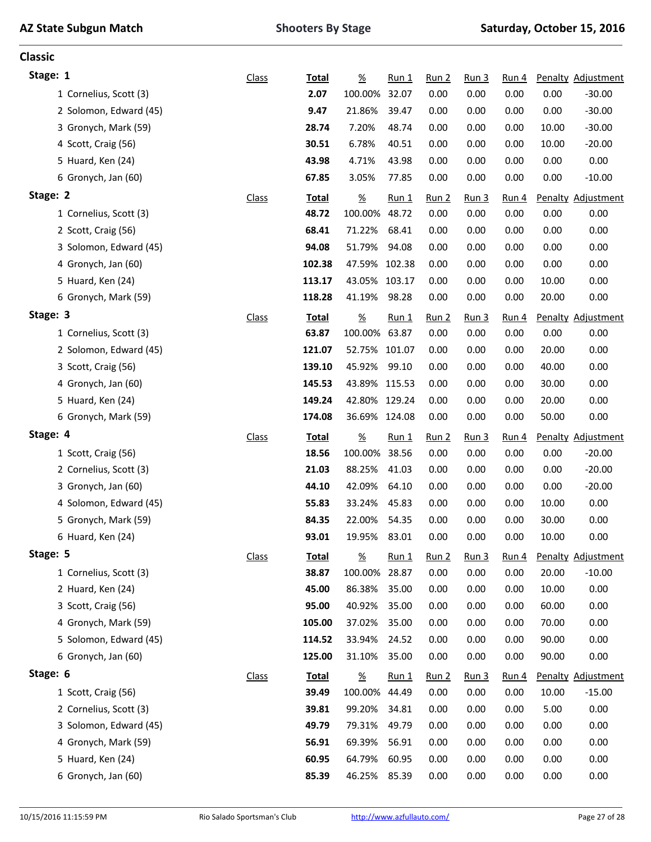**Classic**

| Stage: 1               | Class        | <b>Total</b> | $\frac{\%}{\sqrt{2}}$ | $Run_1$ | <u>Run 2</u>     | Run <sub>3</sub> | Run 4            |       | Penalty Adjustment |
|------------------------|--------------|--------------|-----------------------|---------|------------------|------------------|------------------|-------|--------------------|
| 1 Cornelius, Scott (3) |              | 2.07         | 100.00%               | 32.07   | 0.00             | 0.00             | 0.00             | 0.00  | $-30.00$           |
| 2 Solomon, Edward (45) |              | 9.47         | 21.86%                | 39.47   | 0.00             | 0.00             | 0.00             | 0.00  | $-30.00$           |
| 3 Gronych, Mark (59)   |              | 28.74        | 7.20%                 | 48.74   | 0.00             | 0.00             | 0.00             | 10.00 | $-30.00$           |
| 4 Scott, Craig (56)    |              | 30.51        | 6.78%                 | 40.51   | 0.00             | 0.00             | 0.00             | 10.00 | $-20.00$           |
| 5 Huard, Ken (24)      |              | 43.98        | 4.71%                 | 43.98   | 0.00             | 0.00             | 0.00             | 0.00  | 0.00               |
| 6 Gronych, Jan (60)    |              | 67.85        | 3.05%                 | 77.85   | 0.00             | 0.00             | 0.00             | 0.00  | $-10.00$           |
| Stage: 2               | <b>Class</b> | <b>Total</b> | $\underline{\%}$      | $Run_1$ | Run 2            | Run <sub>3</sub> | Run <sub>4</sub> |       | Penalty Adjustment |
| 1 Cornelius, Scott (3) |              | 48.72        | 100.00%               | 48.72   | 0.00             | 0.00             | 0.00             | 0.00  | 0.00               |
| 2 Scott, Craig (56)    |              | 68.41        | 71.22%                | 68.41   | 0.00             | 0.00             | 0.00             | 0.00  | 0.00               |
| 3 Solomon, Edward (45) |              | 94.08        | 51.79%                | 94.08   | 0.00             | 0.00             | 0.00             | 0.00  | 0.00               |
| 4 Gronych, Jan (60)    |              | 102.38       | 47.59%                | 102.38  | 0.00             | 0.00             | 0.00             | 0.00  | 0.00               |
| 5 Huard, Ken (24)      |              | 113.17       | 43.05%                | 103.17  | 0.00             | 0.00             | 0.00             | 10.00 | 0.00               |
| 6 Gronych, Mark (59)   |              | 118.28       | 41.19%                | 98.28   | 0.00             | 0.00             | 0.00             | 20.00 | 0.00               |
| Stage: 3               | Class        | <b>Total</b> | $\underline{\%}$      | $Run_1$ | Run <sub>2</sub> | Run <sub>3</sub> | Run 4            |       | Penalty Adjustment |
| 1 Cornelius, Scott (3) |              | 63.87        | 100.00% 63.87         |         | 0.00             | 0.00             | 0.00             | 0.00  | 0.00               |
| 2 Solomon, Edward (45) |              | 121.07       | 52.75%                | 101.07  | 0.00             | 0.00             | 0.00             | 20.00 | 0.00               |
| 3 Scott, Craig (56)    |              | 139.10       | 45.92%                | 99.10   | 0.00             | 0.00             | 0.00             | 40.00 | 0.00               |
| 4 Gronych, Jan (60)    |              | 145.53       | 43.89% 115.53         |         | 0.00             | 0.00             | 0.00             | 30.00 | 0.00               |
| 5 Huard, Ken (24)      |              | 149.24       | 42.80% 129.24         |         | 0.00             | 0.00             | 0.00             | 20.00 | 0.00               |
| 6 Gronych, Mark (59)   |              | 174.08       | 36.69%                | 124.08  | 0.00             | 0.00             | 0.00             | 50.00 | 0.00               |
|                        |              |              |                       |         |                  |                  |                  |       |                    |
| Stage: 4               | <b>Class</b> | <b>Total</b> | $\underline{\%}$      | $Run_1$ | Run <sub>2</sub> | Run <sub>3</sub> | <u>Run 4</u>     |       | Penalty Adjustment |
| 1 Scott, Craig (56)    |              | 18.56        | 100.00%               | 38.56   | 0.00             | 0.00             | 0.00             | 0.00  | $-20.00$           |
| 2 Cornelius, Scott (3) |              | 21.03        | 88.25%                | 41.03   | 0.00             | 0.00             | 0.00             | 0.00  | $-20.00$           |
| 3 Gronych, Jan (60)    |              | 44.10        | 42.09%                | 64.10   | 0.00             | 0.00             | 0.00             | 0.00  | $-20.00$           |
| 4 Solomon, Edward (45) |              | 55.83        | 33.24%                | 45.83   | 0.00             | 0.00             | 0.00             | 10.00 | 0.00               |
| 5 Gronych, Mark (59)   |              | 84.35        | 22.00%                | 54.35   | 0.00             | 0.00             | 0.00             | 30.00 | 0.00               |
| 6 Huard, Ken (24)      |              | 93.01        | 19.95%                | 83.01   | 0.00             | 0.00             | 0.00             | 10.00 | 0.00               |
| Stage: 5               | <b>Class</b> | <b>Total</b> | $\frac{\%}{\sqrt{2}}$ | $Run_1$ | Run 2            | Run <sub>3</sub> | Run 4            |       | Penalty Adjustment |
| 1 Cornelius, Scott (3) |              | 38.87        | 100.00%               | 28.87   | 0.00             | 0.00             | 0.00             | 20.00 | $-10.00$           |
| 2 Huard, Ken (24)      |              | 45.00        | 86.38%                | 35.00   | 0.00             | 0.00             | 0.00             | 10.00 | 0.00               |
| 3 Scott, Craig (56)    |              | 95.00        | 40.92%                | 35.00   | 0.00             | 0.00             | 0.00             | 60.00 | 0.00               |
| 4 Gronych, Mark (59)   |              | 105.00       | 37.02%                | 35.00   | 0.00             | 0.00             | 0.00             | 70.00 | 0.00               |
| 5 Solomon, Edward (45) |              | 114.52       | 33.94%                | 24.52   | 0.00             | 0.00             | 0.00             | 90.00 | 0.00               |
| 6 Gronych, Jan (60)    |              | 125.00       | 31.10%                | 35.00   | 0.00             | 0.00             | 0.00             | 90.00 | 0.00               |
| Stage: 6               | <b>Class</b> | <b>Total</b> | $\underline{\%}$      | $Run_1$ | Run 2            | Run <sub>3</sub> | Run 4            |       | Penalty Adjustment |
| 1 Scott, Craig (56)    |              | 39.49        | 100.00%               | 44.49   | 0.00             | 0.00             | 0.00             | 10.00 | $-15.00$           |
| 2 Cornelius, Scott (3) |              | 39.81        | 99.20%                | 34.81   | 0.00             | 0.00             | 0.00             | 5.00  | 0.00               |
| 3 Solomon, Edward (45) |              | 49.79        | 79.31%                | 49.79   | 0.00             | 0.00             | 0.00             | 0.00  | 0.00               |
| 4 Gronych, Mark (59)   |              | 56.91        | 69.39%                | 56.91   | 0.00             | 0.00             | 0.00             | 0.00  | 0.00               |
| 5 Huard, Ken (24)      |              | 60.95        | 64.79%                | 60.95   | 0.00             | 0.00             | 0.00             | 0.00  | 0.00               |